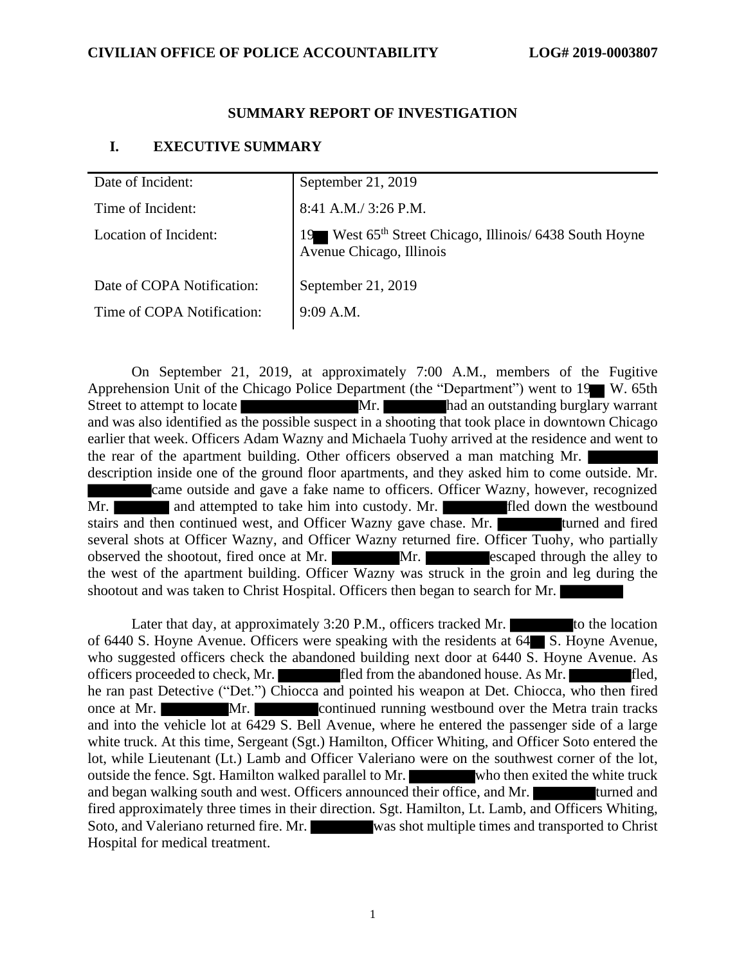#### **SUMMARY REPORT OF INVESTIGATION**

## **I. EXECUTIVE SUMMARY**

| Date of Incident:          | September 21, 2019                                                                              |
|----------------------------|-------------------------------------------------------------------------------------------------|
| Time of Incident:          | $8:41$ A.M./ 3:26 P.M.                                                                          |
| Location of Incident:      | 19 West 65 <sup>th</sup> Street Chicago, Illinois/ 6438 South Hoyne<br>Avenue Chicago, Illinois |
| Date of COPA Notification: | September 21, 2019                                                                              |
| Time of COPA Notification: | $9:09$ A.M.                                                                                     |

On September 21, 2019, at approximately 7:00 A.M., members of the Fugitive Apprehension Unit of the Chicago Police Department (the "Department") went to 19 W. 65th Street to attempt to locate Mr. had an outstanding burglary warrant and was also identified as the possible suspect in a shooting that took place in downtown Chicago earlier that week. Officers Adam Wazny and Michaela Tuohy arrived at the residence and went to the rear of the apartment building. Other officers observed a man matching Mr. description inside one of the ground floor apartments, and they asked him to come outside. Mr. came outside and gave a fake name to officers. Officer Wazny, however, recognized Mr. **and attempted to take him into custody. Mr. has a fled down the westbound** stairs and then continued west, and Officer Wazny gave chase. Mr. **The and the state of the state of the state of the state of the state of the state of the state of the state of the state of the state of the state of the** several shots at Officer Wazny, and Officer Wazny returned fire. Officer Tuohy, who partially observed the shootout, fired once at Mr. Mr. Mr. escaped through the alley to the west of the apartment building. Officer Wazny was struck in the groin and leg during the shootout and was taken to Christ Hospital. Officers then began to search for Mr.

Later that day, at approximately  $3:20$  P.M., officers tracked Mr. of 6440 S. Hoyne Avenue. Officers were speaking with the residents at 64 S. Hoyne Avenue, who suggested officers check the abandoned building next door at 6440 S. Hoyne Avenue. As officers proceeded to check, Mr. **fled** from the abandoned house. As Mr. **fled**, he ran past Detective ("Det.") Chiocca and pointed his weapon at Det. Chiocca, who then fired once at Mr. Mr. Mr. continued running westbound over the Metra train tracks and into the vehicle lot at 6429 S. Bell Avenue, where he entered the passenger side of a large white truck. At this time, Sergeant (Sgt.) Hamilton, Officer Whiting, and Officer Soto entered the lot, while Lieutenant (Lt.) Lamb and Officer Valeriano were on the southwest corner of the lot, outside the fence. Sgt. Hamilton walked parallel to Mr. who then exited the white truck and began walking south and west. Officers announced their office, and Mr. fired approximately three times in their direction. Sgt. Hamilton, Lt. Lamb, and Officers Whiting, Soto, and Valeriano returned fire. Mr. was shot multiple times and transported to Christ Hospital for medical treatment.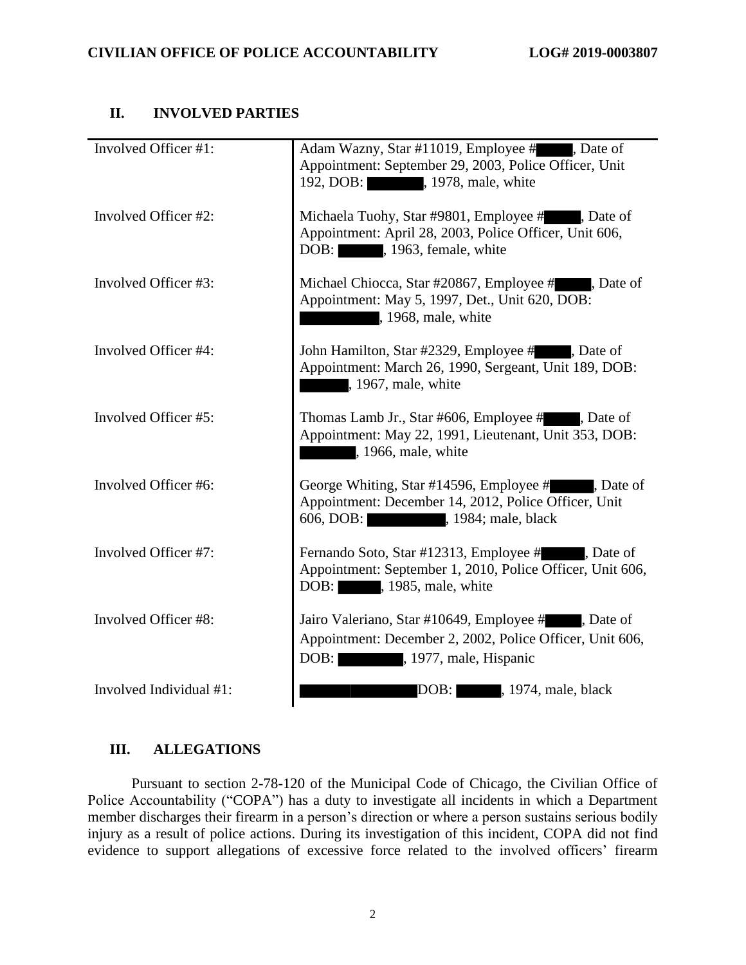# **II. INVOLVED PARTIES**

| Involved Officer #1:    | Adam Wazny, Star #11019, Employee #, Date of<br>Appointment: September 29, 2003, Police Officer, Unit<br>192, DOB: , 1978, male, white          |
|-------------------------|-------------------------------------------------------------------------------------------------------------------------------------------------|
| Involved Officer #2:    | Michaela Tuohy, Star #9801, Employee #, Date of<br>Appointment: April 28, 2003, Police Officer, Unit 606,<br>DOB: , 1963, female, white         |
| Involved Officer #3:    | Michael Chiocca, Star #20867, Employee #, Date of<br>Appointment: May 5, 1997, Det., Unit 620, DOB:<br>, 1968, male, white                      |
| Involved Officer #4:    | John Hamilton, Star #2329, Employee #, Date of<br>Appointment: March 26, 1990, Sergeant, Unit 189, DOB:<br>, 1967, male, white                  |
| Involved Officer #5:    | Thomas Lamb Jr., Star #606, Employee #, Date of<br>Appointment: May 22, 1991, Lieutenant, Unit 353, DOB:<br>, 1966, male, white                 |
| Involved Officer #6:    | George Whiting, Star #14596, Employee #, Date of<br>Appointment: December 14, 2012, Police Officer, Unit<br>606, DOB: 1984; male, black         |
| Involved Officer #7:    | Fernando Soto, Star #12313, Employee #, Date of<br>Appointment: September 1, 2010, Police Officer, Unit 606,<br>DOB: , 1985, male, white        |
| Involved Officer #8:    | Jairo Valeriano, Star #10649, Employee #, Date of<br>Appointment: December 2, 2002, Police Officer, Unit 606,<br>DOB:<br>, 1977, male, Hispanic |
| Involved Individual #1: | DOB:<br>, 1974, male, black                                                                                                                     |

## **III. ALLEGATIONS**

Pursuant to section 2-78-120 of the Municipal Code of Chicago, the Civilian Office of Police Accountability ("COPA") has a duty to investigate all incidents in which a Department member discharges their firearm in a person's direction or where a person sustains serious bodily injury as a result of police actions. During its investigation of this incident, COPA did not find evidence to support allegations of excessive force related to the involved officers' firearm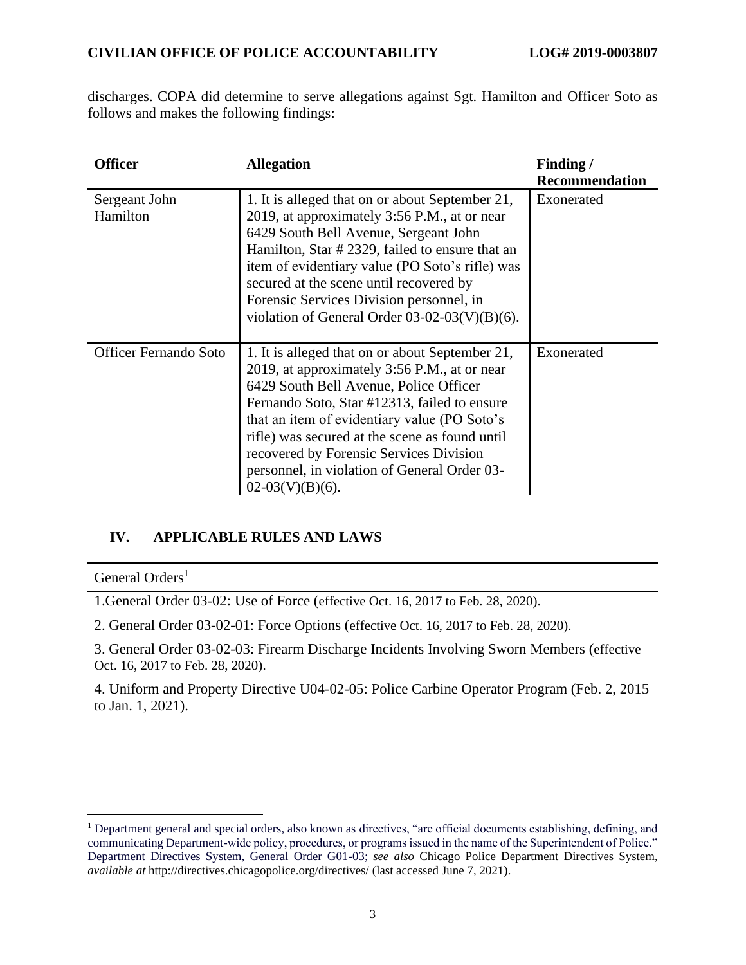discharges. COPA did determine to serve allegations against Sgt. Hamilton and Officer Soto as follows and makes the following findings:

| <b>Officer</b>               | <b>Allegation</b>                                                                                                                                                                                                                                                                                                                                                                                            | Finding /<br><b>Recommendation</b> |
|------------------------------|--------------------------------------------------------------------------------------------------------------------------------------------------------------------------------------------------------------------------------------------------------------------------------------------------------------------------------------------------------------------------------------------------------------|------------------------------------|
| Sergeant John<br>Hamilton    | 1. It is alleged that on or about September 21,<br>2019, at approximately 3:56 P.M., at or near<br>6429 South Bell Avenue, Sergeant John<br>Hamilton, Star # 2329, failed to ensure that an<br>item of evidentiary value (PO Soto's rifle) was<br>secured at the scene until recovered by<br>Forensic Services Division personnel, in<br>violation of General Order $03-02-03(V)(B)(6)$ .                    | Exonerated                         |
| <b>Officer Fernando Soto</b> | 1. It is alleged that on or about September 21,<br>2019, at approximately 3:56 P.M., at or near<br>6429 South Bell Avenue, Police Officer<br>Fernando Soto, Star #12313, failed to ensure<br>that an item of evidentiary value (PO Soto's<br>rifle) was secured at the scene as found until<br>recovered by Forensic Services Division<br>personnel, in violation of General Order 03-<br>$02-03(V)(B)(6)$ . | Exonerated                         |

# **IV. APPLICABLE RULES AND LAWS**

General Orders<sup>1</sup>

1.General Order 03-02: Use of Force (effective Oct. 16, 2017 to Feb. 28, 2020).

2. General Order 03-02-01: Force Options (effective Oct. 16, 2017 to Feb. 28, 2020).

3. General Order 03-02-03: Firearm Discharge Incidents Involving Sworn Members (effective Oct. 16, 2017 to Feb. 28, 2020).

4. Uniform and Property Directive U04-02-05: Police Carbine Operator Program (Feb. 2, 2015 to Jan. 1, 2021).

<sup>1</sup> Department general and special orders, also known as directives, "are official documents establishing, defining, and communicating Department-wide policy, procedures, or programs issued in the name of the Superintendent of Police." Department Directives System, General Order G01-03; *see also* Chicago Police Department Directives System, *available at* http://directives.chicagopolice.org/directives/ (last accessed June 7, 2021).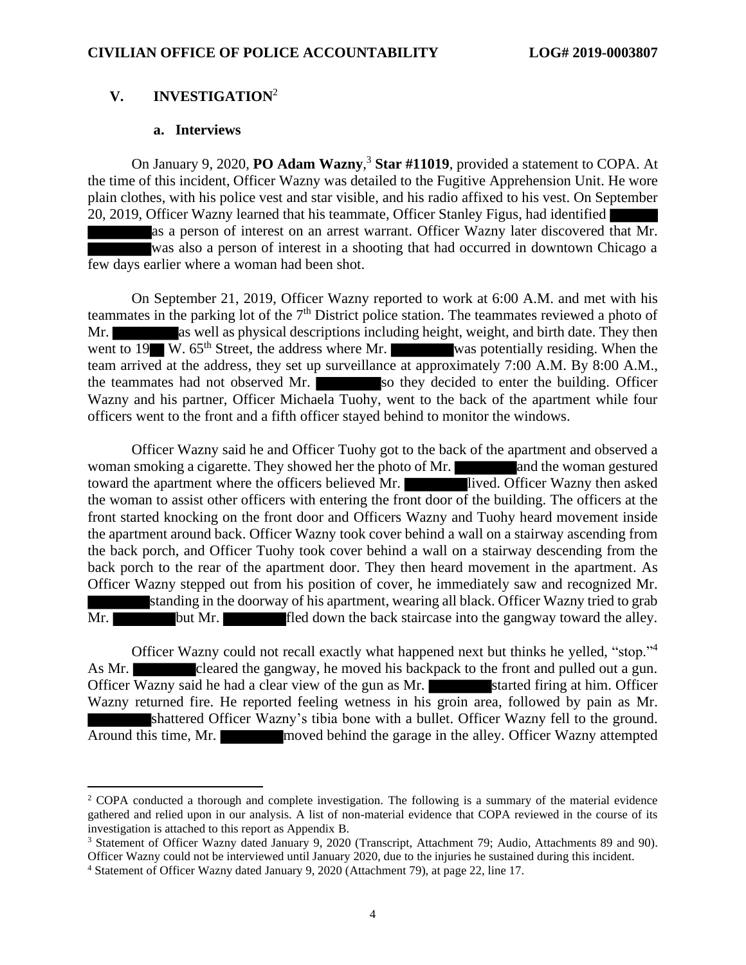## **V. INVESTIGATION**<sup>2</sup>

#### **a. Interviews**

On January 9, 2020, **PO Adam Wazny**, <sup>3</sup> **Star #11019**, provided a statement to COPA. At the time of this incident, Officer Wazny was detailed to the Fugitive Apprehension Unit. He wore plain clothes, with his police vest and star visible, and his radio affixed to his vest. On September 20, 2019, Officer Wazny learned that his teammate, Officer Stanley Figus, had identified

as a person of interest on an arrest warrant. Officer Wazny later discovered that Mr. was also a person of interest in a shooting that had occurred in downtown Chicago a few days earlier where a woman had been shot.

On September 21, 2019, Officer Wazny reported to work at 6:00 A.M. and met with his teammates in the parking lot of the 7<sup>th</sup> District police station. The teammates reviewed a photo of Mr. as well as physical descriptions including height, weight, and birth date. They then went to 19 W.  $65<sup>th</sup>$  Street, the address where Mr. was potentially residing. When the team arrived at the address, they set up surveillance at approximately 7:00 A.M. By 8:00 A.M., the teammates had not observed Mr. So they decided to enter the building. Officer Wazny and his partner, Officer Michaela Tuohy, went to the back of the apartment while four officers went to the front and a fifth officer stayed behind to monitor the windows.

Officer Wazny said he and Officer Tuohy got to the back of the apartment and observed a woman smoking a cigarette. They showed her the photo of Mr. and the woman gestured toward the apartment where the officers believed Mr. lived. Officer Wazny then asked the woman to assist other officers with entering the front door of the building. The officers at the front started knocking on the front door and Officers Wazny and Tuohy heard movement inside the apartment around back. Officer Wazny took cover behind a wall on a stairway ascending from the back porch, and Officer Tuohy took cover behind a wall on a stairway descending from the back porch to the rear of the apartment door. They then heard movement in the apartment. As Officer Wazny stepped out from his position of cover, he immediately saw and recognized Mr. standing in the doorway of his apartment, wearing all black. Officer Wazny tried to grab Mr. but Mr. fled down the back staircase into the gangway toward the alley.

Officer Wazny could not recall exactly what happened next but thinks he yelled, "stop."<sup>4</sup> As Mr. cleared the gangway, he moved his backpack to the front and pulled out a gun. Officer Wazny said he had a clear view of the gun as Mr. started firing at him. Officer Wazny returned fire. He reported feeling wetness in his groin area, followed by pain as Mr. shattered Officer Wazny's tibia bone with a bullet. Officer Wazny fell to the ground. Around this time, Mr. moved behind the garage in the alley. Officer Wazny attempted

<sup>&</sup>lt;sup>2</sup> COPA conducted a thorough and complete investigation. The following is a summary of the material evidence gathered and relied upon in our analysis. A list of non-material evidence that COPA reviewed in the course of its investigation is attached to this report as Appendix B.

<sup>3</sup> Statement of Officer Wazny dated January 9, 2020 (Transcript, Attachment 79; Audio, Attachments 89 and 90). Officer Wazny could not be interviewed until January 2020, due to the injuries he sustained during this incident.

<sup>4</sup> Statement of Officer Wazny dated January 9, 2020 (Attachment 79), at page 22, line 17.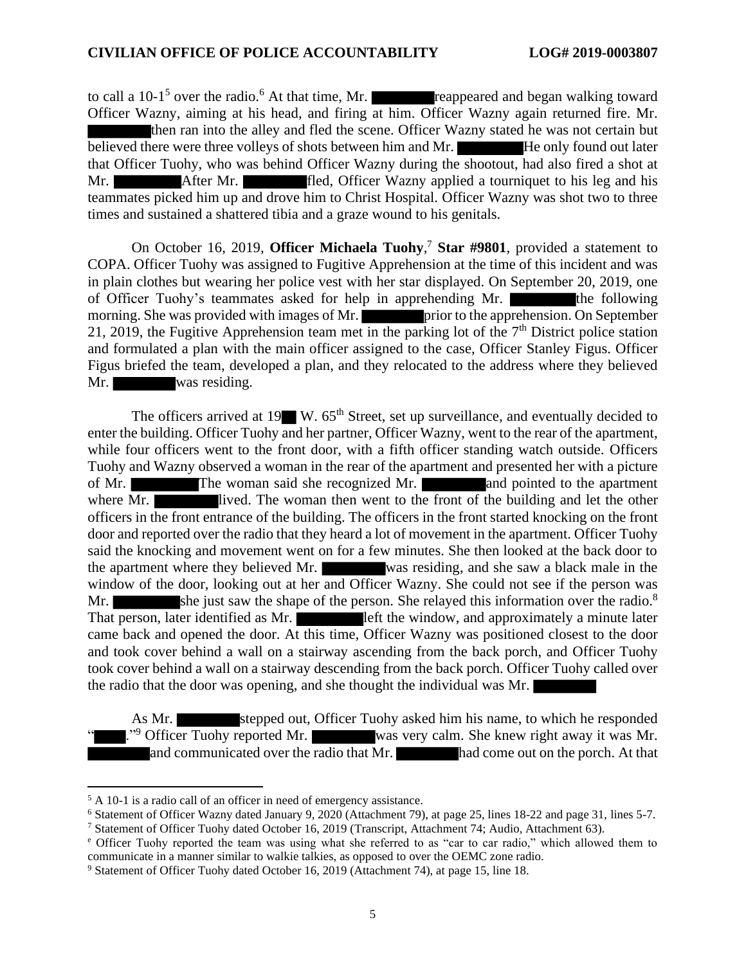to call a  $10-1<sup>5</sup>$  over the radio.<sup>6</sup> At that time, Mr. **reappeared and began walking toward** Officer Wazny, aiming at his head, and firing at him. Officer Wazny again returned fire. Mr. then ran into the alley and fled the scene. Officer Wazny stated he was not certain but believed there were three volleys of shots between him and Mr. He only found out later that Officer Tuohy, who was behind Officer Wazny during the shootout, had also fired a shot at Mr. After Mr. **fled**, Officer Wazny applied a tourniquet to his leg and his teammates picked him up and drove him to Christ Hospital. Officer Wazny was shot two to three times and sustained a shattered tibia and a graze wound to his genitals.

On October 16, 2019, **Officer Michaela Tuohy**, <sup>7</sup> **Star #9801**, provided a statement to COPA. Officer Tuohy was assigned to Fugitive Apprehension at the time of this incident and was in plain clothes but wearing her police vest with her star displayed. On September 20, 2019, one of Officer Tuohy's teammates asked for help in apprehending Mr. the following morning. She was provided with images of Mr. **prior** to the apprehension. On September 21, 2019, the Fugitive Apprehension team met in the parking lot of the  $7<sup>th</sup>$  District police station and formulated a plan with the main officer assigned to the case, Officer Stanley Figus. Officer Figus briefed the team, developed a plan, and they relocated to the address where they believed Mr. was residing.

The officers arrived at  $19$  W.  $65<sup>th</sup>$  Street, set up surveillance, and eventually decided to enter the building. Officer Tuohy and her partner, Officer Wazny, went to the rear of the apartment, while four officers went to the front door, with a fifth officer standing watch outside. Officers Tuohy and Wazny observed a woman in the rear of the apartment and presented her with a picture of Mr. The woman said she recognized Mr. and pointed to the apartment where Mr. lived. The woman then went to the front of the building and let the other officers in the front entrance of the building. The officers in the front started knocking on the front door and reported over the radio that they heard a lot of movement in the apartment. Officer Tuohy said the knocking and movement went on for a few minutes. She then looked at the back door to the apartment where they believed Mr. was residing, and she saw a black male in the window of the door, looking out at her and Officer Wazny. She could not see if the person was Mr. She just saw the shape of the person. She relayed this information over the radio.<sup>8</sup> That person, later identified as Mr. **left** the window, and approximately a minute later came back and opened the door. At this time, Officer Wazny was positioned closest to the door and took cover behind a wall on a stairway ascending from the back porch, and Officer Tuohy took cover behind a wall on a stairway descending from the back porch. Officer Tuohy called over the radio that the door was opening, and she thought the individual was Mr.

As Mr. stepped out, Officer Tuohy asked him his name, to which he responded ."<sup>9</sup> Officer Tuohy reported Mr. was very calm. She knew right away it was Mr. and communicated over the  $\overline{radio}$  that  $\overline{Mr}$ .  $\overline{har}$  had come out on the porch. At that

<sup>5</sup> A 10-1 is a radio call of an officer in need of emergency assistance.

<sup>6</sup> Statement of Officer Wazny dated January 9, 2020 (Attachment 79), at page 25, lines 18-22 and page 31, lines 5-7.

<sup>7</sup> Statement of Officer Tuohy dated October 16, 2019 (Transcript, Attachment 74; Audio, Attachment 63).

<sup>e</sup> Officer Tuohy reported the team was using what she referred to as "car to car radio," which allowed them to communicate in a manner similar to walkie talkies, as opposed to over the OEMC zone radio.

<sup>9</sup> Statement of Officer Tuohy dated October 16, 2019 (Attachment 74), at page 15, line 18.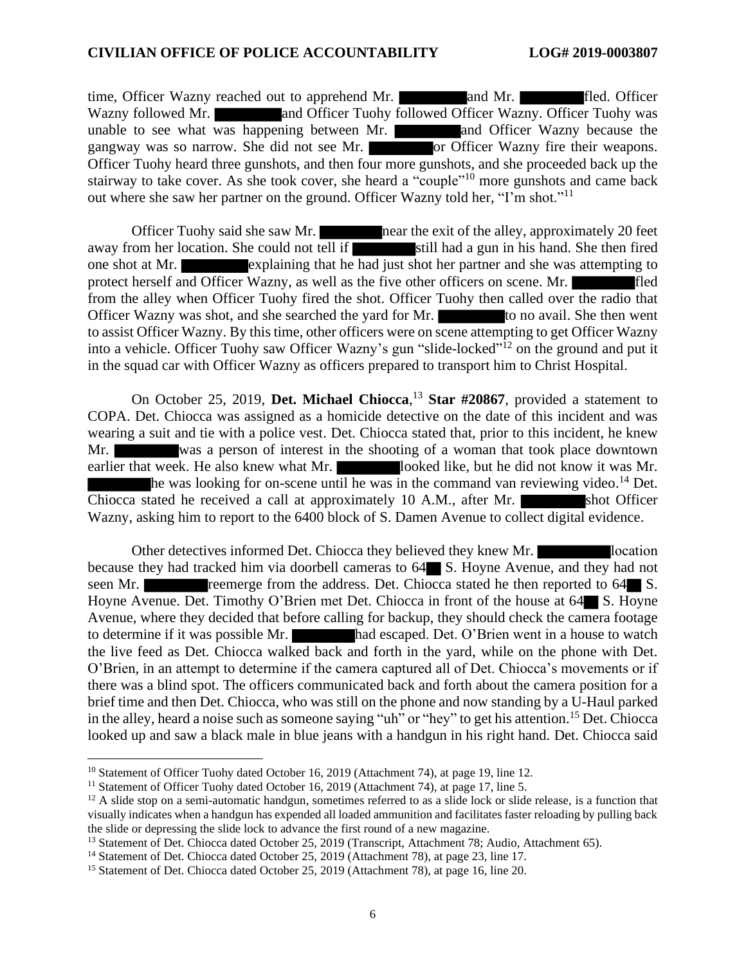time, Officer Wazny reached out to apprehend Mr. and Mr. **and Mr.** fled. Officer Wazny followed Mr. and Officer Tuohy followed Officer Wazny. Officer Tuohy was unable to see what was happening between Mr. **and Officer Wazny because the** gangway was so narrow. She did not see Mr.  $\overline{a}$  or Officer Wazny fire their weapons. Officer Tuohy heard three gunshots, and then four more gunshots, and she proceeded back up the stairway to take cover. As she took cover, she heard a "couple"<sup>10</sup> more gunshots and came back out where she saw her partner on the ground. Officer Wazny told her, "I'm shot."<sup>11</sup>

Officer Tuohy said she saw Mr. near the exit of the alley, approximately 20 feet away from her location. She could not tell if still had a gun in his hand. She then fired one shot at Mr.  $\blacksquare$  explaining that he had just shot her partner and she was attempting to protect herself and Officer Wazny, as well as the five other officers on scene. Mr. from the alley when Officer Tuohy fired the shot. Officer Tuohy then called over the radio that Officer Wazny was shot, and she searched the yard for Mr. to no avail. She then went to assist Officer Wazny. By this time, other officers were on scene attempting to get Officer Wazny into a vehicle. Officer Tuohy saw Officer Wazny's gun "slide-locked"<sup>12</sup> on the ground and put it in the squad car with Officer Wazny as officers prepared to transport him to Christ Hospital.

On October 25, 2019, **Det. Michael Chiocca**, <sup>13</sup> **Star #20867**, provided a statement to COPA. Det. Chiocca was assigned as a homicide detective on the date of this incident and was wearing a suit and tie with a police vest. Det. Chiocca stated that, prior to this incident, he knew Mr. was a person of interest in the shooting of a woman that took place downtown earlier that week. He also knew what Mr. looked like, but he did not know it was Mr. he was looking for on-scene until he was in the command van reviewing video.<sup>14</sup> Det. Chiocca stated he received a call at approximately 10 A.M., after Mr. shot Officer Wazny, asking him to report to the 6400 block of S. Damen Avenue to collect digital evidence.

Other detectives informed Det. Chiocca they believed they knew Mr. location because they had tracked him via doorbell cameras to  $64$  S. Hoyne Avenue, and they had not seen Mr. **reference** from the address. Det. Chiocca stated he then reported to 64 S. Hoyne Avenue. Det. Timothy O'Brien met Det. Chiocca in front of the house at 64 S. Hoyne Avenue, where they decided that before calling for backup, they should check the camera footage to determine if it was possible Mr. had escaped. Det. O'Brien went in a house to watch the live feed as Det. Chiocca walked back and forth in the yard, while on the phone with Det. O'Brien, in an attempt to determine if the camera captured all of Det. Chiocca's movements or if there was a blind spot. The officers communicated back and forth about the camera position for a brief time and then Det. Chiocca, who was still on the phone and now standing by a U-Haul parked in the alley, heard a noise such as someone saying "uh" or "hey" to get his attention.<sup>15</sup> Det. Chiocca looked up and saw a black male in blue jeans with a handgun in his right hand. Det. Chiocca said

<sup>&</sup>lt;sup>10</sup> Statement of Officer Tuohy dated October 16, 2019 (Attachment 74), at page 19, line 12.

<sup>&</sup>lt;sup>11</sup> Statement of Officer Tuohy dated October 16, 2019 (Attachment 74), at page 17, line 5.

 $12$  A slide stop on a semi-automatic handgun, sometimes referred to as a slide lock or slide release, is a function that visually indicates when a handgun has expended all loaded ammunition and facilitates faster reloading by pulling back the slide or depressing the slide lock to advance the first round of a new magazine.

<sup>&</sup>lt;sup>13</sup> Statement of Det. Chiocca dated October 25, 2019 (Transcript, Attachment 78; Audio, Attachment 65).

<sup>&</sup>lt;sup>14</sup> Statement of Det. Chiocca dated October 25, 2019 (Attachment 78), at page 23, line 17.

<sup>&</sup>lt;sup>15</sup> Statement of Det. Chiocca dated October 25, 2019 (Attachment 78), at page 16, line 20.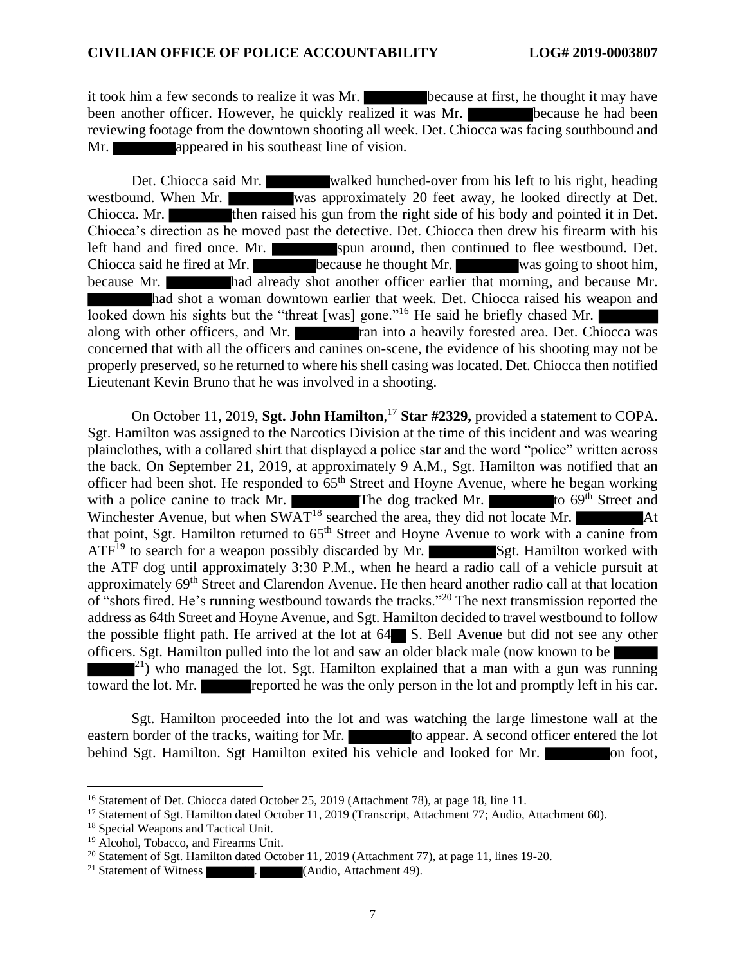it took him a few seconds to realize it was Mr. **because** at first, he thought it may have been another officer. However, he quickly realized it was Mr. because he had been reviewing footage from the downtown shooting all week. Det. Chiocca was facing southbound and Mr. **appeared in his southeast line of vision.** 

Det. Chiocca said Mr. walked hunched-over from his left to his right, heading westbound. When Mr. was approximately 20 feet away, he looked directly at Det. Chiocca. Mr. then raised his gun from the right side of his body and pointed it in Det. Chiocca's direction as he moved past the detective. Det. Chiocca then drew his firearm with his left hand and fired once. Mr. spun around, then continued to flee westbound. Det. Chiocca said he fired at Mr. because he thought Mr. was going to shoot him, because Mr. had already shot another officer earlier that morning, and because Mr. had shot a woman downtown earlier that week. Det. Chiocca raised his weapon and looked down his sights but the "threat [was] gone."<sup>16</sup> He said he briefly chased Mr. along with other officers, and Mr. **ran into a heavily forested area.** Det. Chiocca was concerned that with all the officers and canines on-scene, the evidence of his shooting may not be properly preserved, so he returned to where his shell casing was located. Det. Chiocca then notified Lieutenant Kevin Bruno that he was involved in a shooting.

On October 11, 2019, **Sgt. John Hamilton**, <sup>17</sup> **Star #2329,** provided a statement to COPA. Sgt. Hamilton was assigned to the Narcotics Division at the time of this incident and was wearing plainclothes, with a collared shirt that displayed a police star and the word "police" written across the back. On September 21, 2019, at approximately 9 A.M., Sgt. Hamilton was notified that an officer had been shot. He responded to 65th Street and Hoyne Avenue, where he began working with a police canine to track Mr. The dog tracked Mr. to 69<sup>th</sup> Street and Winchester Avenue, but when  $SWAT^{18}$  searched the area, they did not locate Mr. that point, Sgt. Hamilton returned to  $65<sup>th</sup>$  Street and Hoyne Avenue to work with a canine from  $ATF<sup>19</sup>$  to search for a weapon possibly discarded by Mr. Sgt. Hamilton worked with the ATF dog until approximately 3:30 P.M., when he heard a radio call of a vehicle pursuit at approximately 69<sup>th</sup> Street and Clarendon Avenue. He then heard another radio call at that location of "shots fired. He's running westbound towards the tracks."<sup>20</sup> The next transmission reported the address as 64th Street and Hoyne Avenue, and Sgt. Hamilton decided to travel westbound to follow the possible flight path. He arrived at the lot at 64 S. Bell Avenue but did not see any other officers. Sgt. Hamilton pulled into the lot and saw an older black male (now known to be  $2^{21}$ ) who managed the lot. Sgt. Hamilton explained that a man with a gun was running toward the lot. Mr. reported he was the only person in the lot and promptly left in his car.

Sgt. Hamilton proceeded into the lot and was watching the large limestone wall at the eastern border of the tracks, waiting for Mr. to appear. A second officer entered the lot behind Sgt. Hamilton. Sgt Hamilton exited his vehicle and looked for Mr.

<sup>&</sup>lt;sup>16</sup> Statement of Det. Chiocca dated October 25, 2019 (Attachment 78), at page 18, line 11.

<sup>&</sup>lt;sup>17</sup> Statement of Sgt. Hamilton dated October 11, 2019 (Transcript, Attachment 77; Audio, Attachment 60).

<sup>18</sup> Special Weapons and Tactical Unit.

<sup>19</sup> Alcohol, Tobacco, and Firearms Unit.

<sup>&</sup>lt;sup>20</sup> Statement of Sgt. Hamilton dated October 11, 2019 (Attachment 77), at page 11, lines 19-20.

<sup>&</sup>lt;sup>21</sup> Statement of Witness  $\blacksquare$ . (Audio, Attachment 49).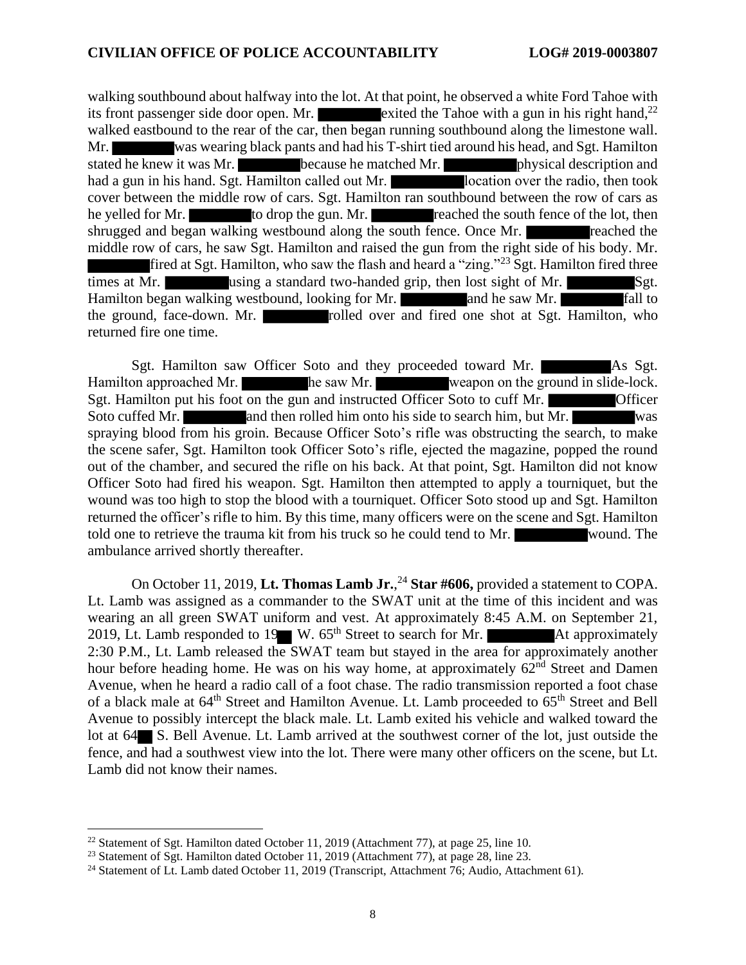walking southbound about halfway into the lot. At that point, he observed a white Ford Tahoe with its front passenger side door open. Mr. exited the Tahoe with a gun in his right hand,<sup>22</sup> walked eastbound to the rear of the car, then began running southbound along the limestone wall. Mr. was wearing black pants and had his T-shirt tied around his head, and Sgt. Hamilton stated he knew it was Mr. **because he matched Mr. physical description and** had a gun in his hand. Sgt. Hamilton called out Mr. **location** over the radio, then took cover between the middle row of cars. Sgt. Hamilton ran southbound between the row of cars as he yelled for Mr. to drop the gun. Mr. reached the south fence of the lot, then shrugged and began walking westbound along the south fence. Once Mr. middle row of cars, he saw Sgt. Hamilton and raised the gun from the right side of his body. Mr. fired at Sgt. Hamilton, who saw the flash and heard a "zing."<sup>23</sup> Sgt. Hamilton fired three times at Mr. we using a standard two-handed grip, then lost sight of Mr. Sgt. Hamilton began walking westbound, looking for Mr. **and he saw Mr. and he saw Mr. and he saw Mr. h** fall to the ground, face-down. Mr. **rolled** over and fired one shot at Sgt. Hamilton, who returned fire one time.

Sgt. Hamilton saw Officer Soto and they proceeded toward Mr. As Sgt. Hamilton approached Mr. he saw Mr. weapon on the ground in slide-lock. Sgt. Hamilton put his foot on the gun and instructed Officer Soto to cuff Mr. Soto cuffed Mr. **and then rolled him onto his side to search him, but Mr.** was spraying blood from his groin. Because Officer Soto's rifle was obstructing the search, to make the scene safer, Sgt. Hamilton took Officer Soto's rifle, ejected the magazine, popped the round out of the chamber, and secured the rifle on his back. At that point, Sgt. Hamilton did not know Officer Soto had fired his weapon. Sgt. Hamilton then attempted to apply a tourniquet, but the wound was too high to stop the blood with a tourniquet. Officer Soto stood up and Sgt. Hamilton returned the officer's rifle to him. By this time, many officers were on the scene and Sgt. Hamilton told one to retrieve the trauma kit from his truck so he could tend to Mr. wound. The ambulance arrived shortly thereafter.

On October 11, 2019, **Lt. Thomas Lamb Jr.**, <sup>24</sup> **Star #606,** provided a statement to COPA. Lt. Lamb was assigned as a commander to the SWAT unit at the time of this incident and was wearing an all green SWAT uniform and vest. At approximately 8:45 A.M. on September 21, 2019, Lt. Lamb responded to 19 W.  $65<sup>th</sup>$  Street to search for Mr. At approximately 2:30 P.M., Lt. Lamb released the SWAT team but stayed in the area for approximately another hour before heading home. He was on his way home, at approximately 62<sup>nd</sup> Street and Damen Avenue, when he heard a radio call of a foot chase. The radio transmission reported a foot chase of a black male at 64<sup>th</sup> Street and Hamilton Avenue. Lt. Lamb proceeded to 65<sup>th</sup> Street and Bell Avenue to possibly intercept the black male. Lt. Lamb exited his vehicle and walked toward the lot at 64 S. Bell Avenue. Lt. Lamb arrived at the southwest corner of the lot, just outside the fence, and had a southwest view into the lot. There were many other officers on the scene, but Lt. Lamb did not know their names.

<sup>22</sup> Statement of Sgt. Hamilton dated October 11, 2019 (Attachment 77), at page 25, line 10.

<sup>&</sup>lt;sup>23</sup> Statement of Sgt. Hamilton dated October 11, 2019 (Attachment 77), at page 28, line 23.

<sup>24</sup> Statement of Lt. Lamb dated October 11, 2019 (Transcript, Attachment 76; Audio, Attachment 61).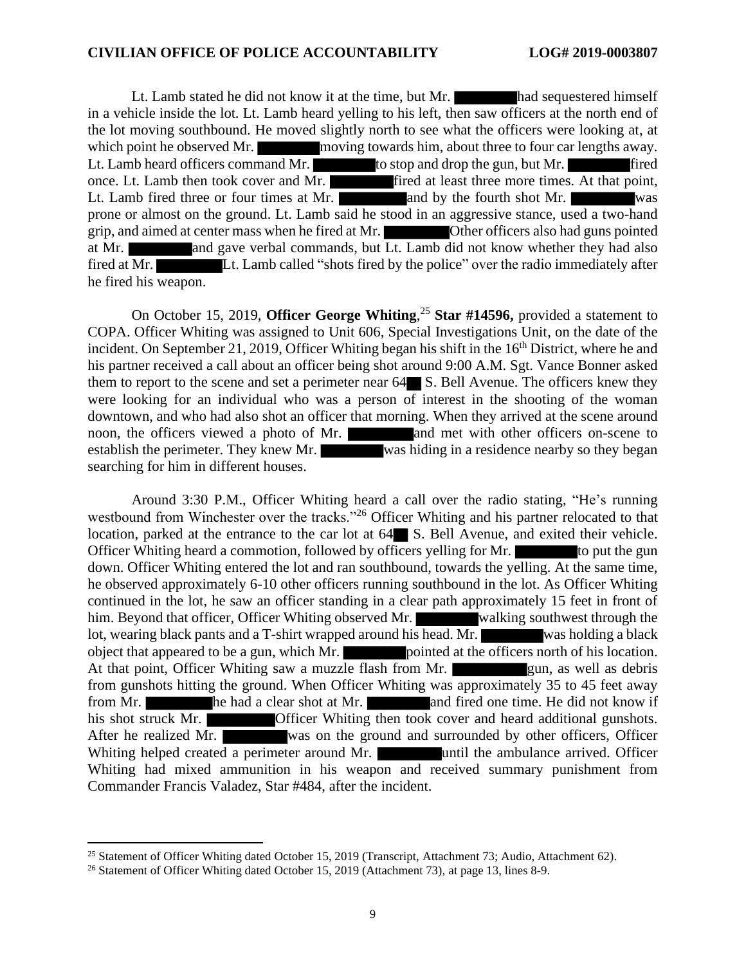Lt. Lamb stated he did not know it at the time, but Mr. had sequestered himself in a vehicle inside the lot. Lt. Lamb heard yelling to his left, then saw officers at the north end of the lot moving southbound. He moved slightly north to see what the officers were looking at, at which point he observed Mr. moving towards him, about three to four car lengths away. Lt. Lamb heard officers command Mr. to stop and drop the gun, but Mr. fired once. Lt. Lamb then took cover and Mr. **fired at least three more times.** At that point, Lt. Lamb fired three or four times at Mr.  $\overline{\phantom{a}}$  and by the fourth shot Mr. prone or almost on the ground. Lt. Lamb said he stood in an aggressive stance, used a two-hand grip, and aimed at center mass when he fired at Mr. Other officers also had guns pointed at Mr. and gave verbal commands, but Lt. Lamb did not know whether they had also fired at Mr. Lt. Lamb called "shots fired by the police" over the radio immediately after he fired his weapon.

On October 15, 2019, **Officer George Whiting**, <sup>25</sup> **Star #14596,** provided a statement to COPA. Officer Whiting was assigned to Unit 606, Special Investigations Unit, on the date of the incident. On September 21, 2019, Officer Whiting began his shift in the  $16<sup>th</sup>$  District, where he and his partner received a call about an officer being shot around 9:00 A.M. Sgt. Vance Bonner asked them to report to the scene and set a perimeter near  $64$  S. Bell Avenue. The officers knew they were looking for an individual who was a person of interest in the shooting of the woman downtown, and who had also shot an officer that morning. When they arrived at the scene around noon, the officers viewed a photo of Mr. and met with other officers on-scene to establish the perimeter. They knew Mr. was hiding in a residence nearby so they began searching for him in different houses.

Around 3:30 P.M., Officer Whiting heard a call over the radio stating, "He's running westbound from Winchester over the tracks."<sup>26</sup> Officer Whiting and his partner relocated to that location, parked at the entrance to the car lot at  $64$  S. Bell Avenue, and exited their vehicle. Officer Whiting heard a commotion, followed by officers yelling for Mr. to put the gun down. Officer Whiting entered the lot and ran southbound, towards the yelling. At the same time, he observed approximately 6-10 other officers running southbound in the lot. As Officer Whiting continued in the lot, he saw an officer standing in a clear path approximately 15 feet in front of him. Beyond that officer, Officer Whiting observed Mr. walking southwest through the lot, wearing black pants and a T-shirt wrapped around his head. Mr. was holding a black object that appeared to be a gun, which Mr. **pointed at the officers north of his location**. At that point, Officer Whiting saw a muzzle flash from Mr. **gun, as well as debris** from gunshots hitting the ground. When Officer Whiting was approximately 35 to 45 feet away from Mr. **he had a clear shot at Mr.** and fired one time. He did not know if his shot struck Mr. **Officer Whiting then took cover and heard additional gunshots.** After he realized Mr. was on the ground and surrounded by other officers, Officer Whiting helped created a perimeter around Mr. **until the ambulance arrived.** Officer Whiting had mixed ammunition in his weapon and received summary punishment from Commander Francis Valadez, Star #484, after the incident.

<sup>&</sup>lt;sup>25</sup> Statement of Officer Whiting dated October 15, 2019 (Transcript, Attachment 73; Audio, Attachment 62).

<sup>&</sup>lt;sup>26</sup> Statement of Officer Whiting dated October 15, 2019 (Attachment 73), at page 13, lines 8-9.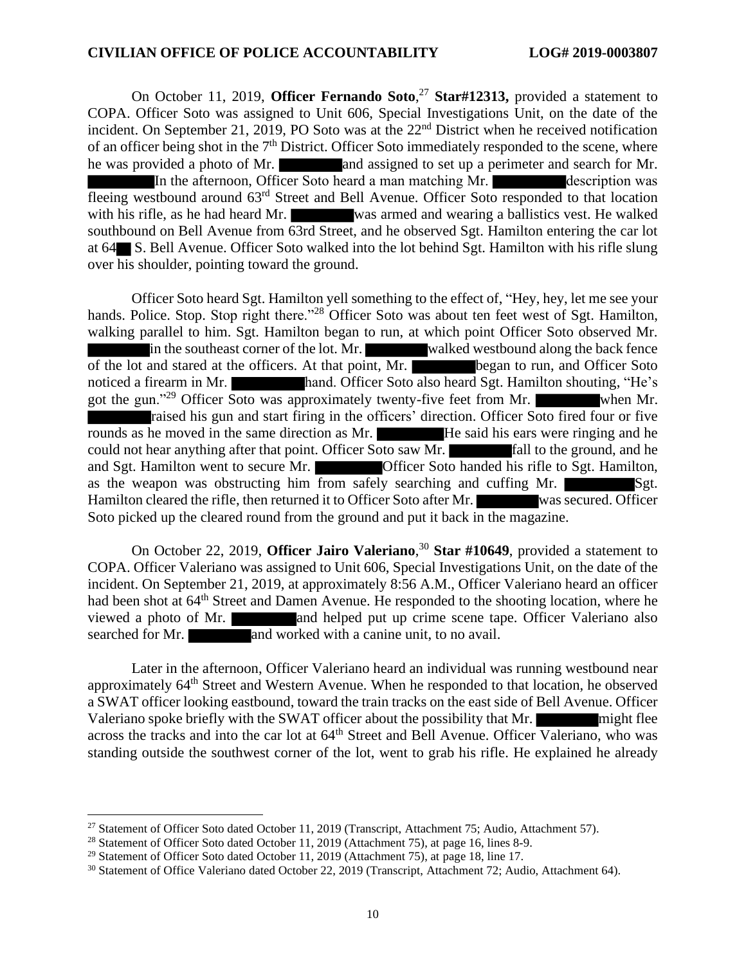On October 11, 2019, **Officer Fernando Soto**, <sup>27</sup> **Star#12313,** provided a statement to COPA. Officer Soto was assigned to Unit 606, Special Investigations Unit, on the date of the incident. On September 21, 2019, PO Soto was at the 22<sup>nd</sup> District when he received notification of an officer being shot in the  $7<sup>th</sup>$  District. Officer Soto immediately responded to the scene, where he was provided a photo of Mr. and assigned to set up a perimeter and search for Mr. In the afternoon, Officer Soto heard a man matching Mr. description was fleeing westbound around 63rd Street and Bell Avenue. Officer Soto responded to that location with his rifle, as he had heard Mr. was armed and wearing a ballistics vest. He walked southbound on Bell Avenue from 63rd Street, and he observed Sgt. Hamilton entering the car lot at 64 S. Bell Avenue. Officer Soto walked into the lot behind Sgt. Hamilton with his rifle slung over his shoulder, pointing toward the ground.

Officer Soto heard Sgt. Hamilton yell something to the effect of, "Hey, hey, let me see your hands. Police. Stop. Stop right there."<sup>28</sup> Officer Soto was about ten feet west of Sgt. Hamilton, walking parallel to him. Sgt. Hamilton began to run, at which point Officer Soto observed Mr. in the southeast corner of the lot. Mr. walked westbound along the back fence of the lot and stared at the officers. At that point, Mr. began to run, and Officer Soto noticed a firearm in Mr. hand. Officer Soto also heard Sgt. Hamilton shouting, "He's got the gun."<sup>29</sup> Officer Soto was approximately twenty-five feet from Mr. when Mr. raised his gun and start firing in the officers' direction. Officer Soto fired four or five rounds as he moved in the same direction as Mr. He said his ears were ringing and he could not hear anything after that point. Officer Soto saw Mr. **Figure 1** fall to the ground, and he and Sgt. Hamilton went to secure Mr. Officer Soto handed his rifle to Sgt. Hamilton, as the weapon was obstructing him from safely searching and cuffing Mr.  $Sgt$ . Hamilton cleared the rifle, then returned it to Officer Soto after Mr. was secured. Officer Soto picked up the cleared round from the ground and put it back in the magazine.

On October 22, 2019, **Officer Jairo Valeriano**, <sup>30</sup> **Star #10649**, provided a statement to COPA. Officer Valeriano was assigned to Unit 606, Special Investigations Unit, on the date of the incident. On September 21, 2019, at approximately 8:56 A.M., Officer Valeriano heard an officer had been shot at 64<sup>th</sup> Street and Damen Avenue. He responded to the shooting location, where he viewed a photo of Mr. **and helped put up crime scene tape.** Officer Valeriano also searched for Mr. **and worked with a canine unit**, to no avail.

Later in the afternoon, Officer Valeriano heard an individual was running westbound near approximately 64<sup>th</sup> Street and Western Avenue. When he responded to that location, he observed a SWAT officer looking eastbound, toward the train tracks on the east side of Bell Avenue. Officer Valeriano spoke briefly with the SWAT officer about the possibility that Mr. might flee across the tracks and into the car lot at  $64<sup>th</sup>$  Street and Bell Avenue. Officer Valeriano, who was standing outside the southwest corner of the lot, went to grab his rifle. He explained he already

<sup>&</sup>lt;sup>27</sup> Statement of Officer Soto dated October 11, 2019 (Transcript, Attachment 75; Audio, Attachment 57).

<sup>&</sup>lt;sup>28</sup> Statement of Officer Soto dated October 11, 2019 (Attachment 75), at page 16, lines 8-9.

<sup>&</sup>lt;sup>29</sup> Statement of Officer Soto dated October 11, 2019 (Attachment 75), at page 18, line 17.

<sup>30</sup> Statement of Office Valeriano dated October 22, 2019 (Transcript, Attachment 72; Audio, Attachment 64).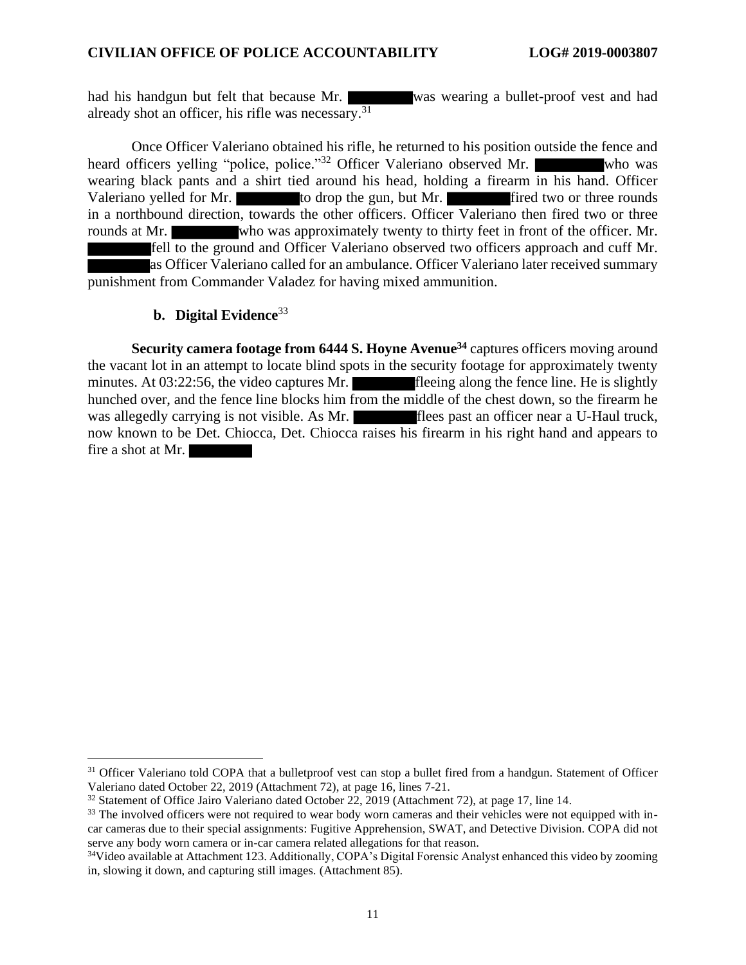had his handgun but felt that because Mr. was wearing a bullet-proof vest and had already shot an officer, his rifle was necessary.<sup>31</sup>

Once Officer Valeriano obtained his rifle, he returned to his position outside the fence and heard officers yelling "police, police."<sup>32</sup> Officer Valeriano observed Mr. Who was wearing black pants and a shirt tied around his head, holding a firearm in his hand. Officer Valeriano yelled for Mr. to drop the gun, but Mr. fired two or three rounds in a northbound direction, towards the other officers. Officer Valeriano then fired two or three rounds at Mr. who was approximately twenty to thirty feet in front of the officer. Mr. fell to the ground and Officer Valeriano observed two officers approach and cuff Mr. as Officer Valeriano called for an ambulance. Officer Valeriano later received summary punishment from Commander Valadez for having mixed ammunition.

#### **b. Digital Evidence**<sup>33</sup>

**Security camera footage from 6444 S. Hoyne Avenue<sup>34</sup>** captures officers moving around the vacant lot in an attempt to locate blind spots in the security footage for approximately twenty minutes. At 03:22:56, the video captures Mr. fleeing along the fence line. He is slightly hunched over, and the fence line blocks him from the middle of the chest down, so the firearm he was allegedly carrying is not visible. As Mr. flees past an officer near a U-Haul truck, now known to be Det. Chiocca, Det. Chiocca raises his firearm in his right hand and appears to fire a shot at Mr.

<sup>&</sup>lt;sup>31</sup> Officer Valeriano told COPA that a bulletproof vest can stop a bullet fired from a handgun. Statement of Officer Valeriano dated October 22, 2019 (Attachment 72), at page 16, lines 7-21.

<sup>32</sup> Statement of Office Jairo Valeriano dated October 22, 2019 (Attachment 72), at page 17, line 14.

<sup>&</sup>lt;sup>33</sup> The involved officers were not required to wear body worn cameras and their vehicles were not equipped with incar cameras due to their special assignments: Fugitive Apprehension, SWAT, and Detective Division. COPA did not serve any body worn camera or in-car camera related allegations for that reason.

<sup>&</sup>lt;sup>34</sup>Video available at Attachment 123. Additionally, COPA's Digital Forensic Analyst enhanced this video by zooming in, slowing it down, and capturing still images. (Attachment 85).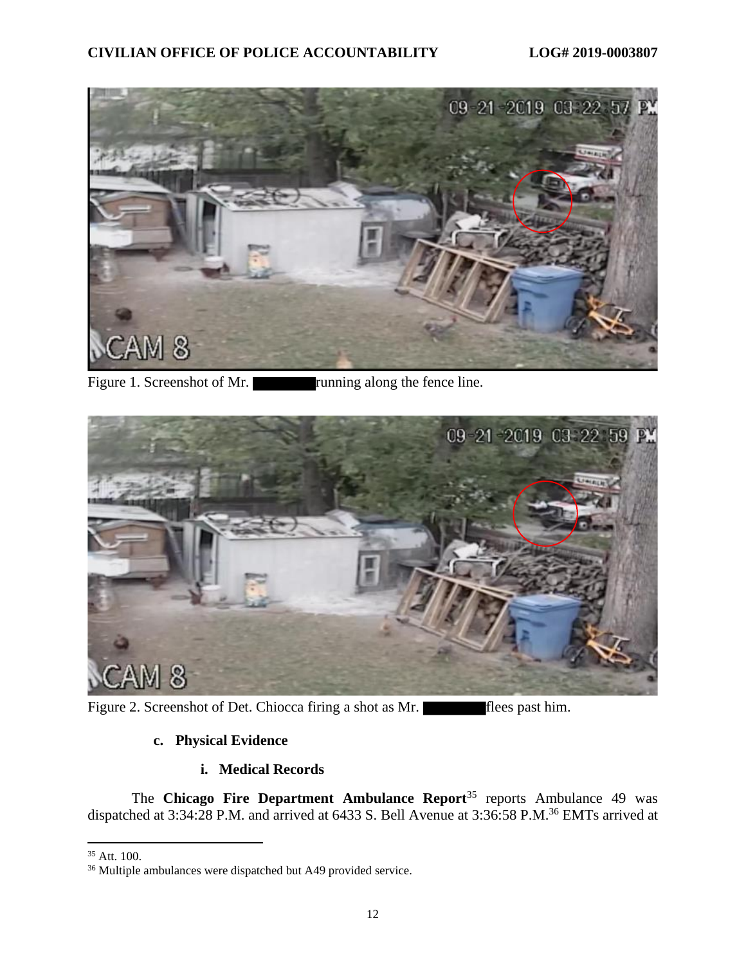

Figure 1. Screenshot of Mr. **running along the fence line.** 



Figure 2. Screenshot of Det. Chiocca firing a shot as Mr. **flees** past him.

## **c. Physical Evidence**

## **i. Medical Records**

The **Chicago Fire Department Ambulance Report**<sup>35</sup> reports Ambulance 49 was dispatched at 3:34:28 P.M. and arrived at 6433 S. Bell Avenue at 3:36:58 P.M.<sup>36</sup> EMTs arrived at

<sup>35</sup> Att. 100.

<sup>36</sup> Multiple ambulances were dispatched but A49 provided service.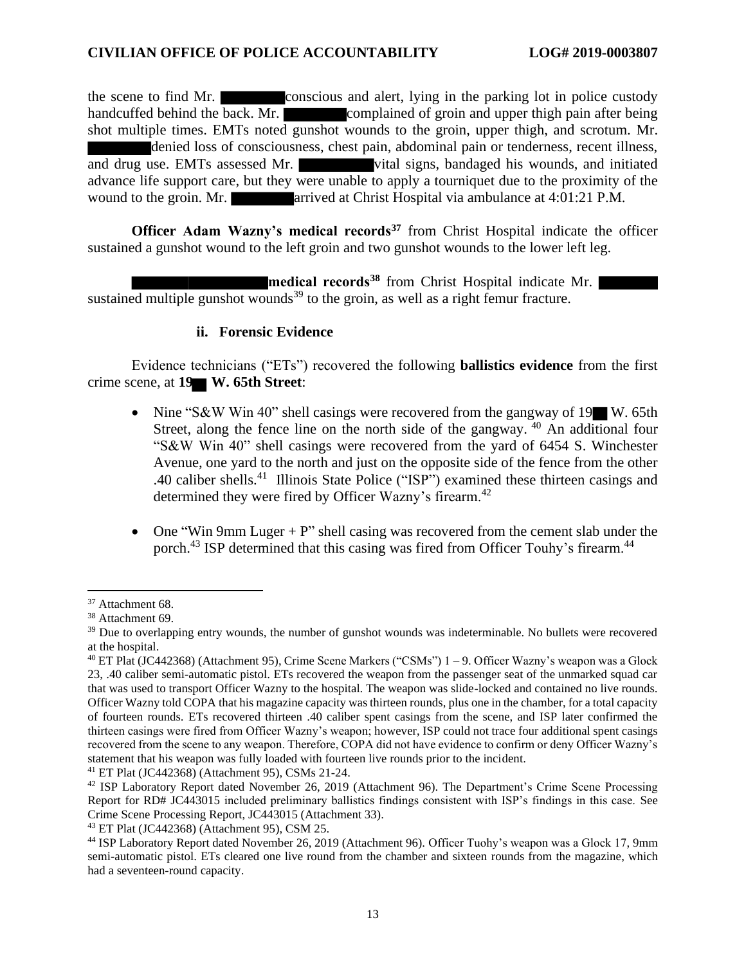the scene to find Mr. conscious and alert, lying in the parking lot in police custody handcuffed behind the back. Mr. complained of groin and upper thigh pain after being shot multiple times. EMTs noted gunshot wounds to the groin, upper thigh, and scrotum. Mr. denied loss of consciousness, chest pain, abdominal pain or tenderness, recent illness, and drug use. EMTs assessed Mr. vital signs, bandaged his wounds, and initiated advance life support care, but they were unable to apply a tourniquet due to the proximity of the wound to the groin. Mr. **arrived at Christ Hospital via ambulance at 4:01:21 P.M.** 

**Officer Adam Wazny's medical records<sup>37</sup>** from Christ Hospital indicate the officer sustained a gunshot wound to the left groin and two gunshot wounds to the lower left leg.

**medical records<sup>38</sup>** from Christ Hospital indicate Mr. sustained multiple gunshot wounds<sup>39</sup> to the groin, as well as a right femur fracture.

#### **ii. Forensic Evidence**

Evidence technicians ("ETs") recovered the following **ballistics evidence** from the first crime scene, at **19 W. 65th Street**:

- Nine "S&W Win 40" shell casings were recovered from the gangway of 19 W. 65th Street, along the fence line on the north side of the gangway.  $40$  An additional four "S&W Win 40" shell casings were recovered from the yard of 6454 S. Winchester Avenue, one yard to the north and just on the opposite side of the fence from the other .40 caliber shells.<sup>41</sup> Illinois State Police ("ISP") examined these thirteen casings and determined they were fired by Officer Wazny's firearm.<sup>42</sup>
- One "Win 9mm Luger  $+ P$ " shell casing was recovered from the cement slab under the porch.<sup>43</sup> ISP determined that this casing was fired from Officer Touhy's firearm.<sup>44</sup>

<sup>37</sup> Attachment 68.

<sup>38</sup> Attachment 69.

<sup>&</sup>lt;sup>39</sup> Due to overlapping entry wounds, the number of gunshot wounds was indeterminable. No bullets were recovered at the hospital.

<sup>40</sup> ET Plat (JC442368) (Attachment 95), Crime Scene Markers ("CSMs") 1 – 9. Officer Wazny's weapon was a Glock 23, .40 caliber semi-automatic pistol. ETs recovered the weapon from the passenger seat of the unmarked squad car that was used to transport Officer Wazny to the hospital. The weapon was slide-locked and contained no live rounds. Officer Wazny told COPA that his magazine capacity was thirteen rounds, plus one in the chamber, for a total capacity of fourteen rounds. ETs recovered thirteen .40 caliber spent casings from the scene, and ISP later confirmed the thirteen casings were fired from Officer Wazny's weapon; however, ISP could not trace four additional spent casings recovered from the scene to any weapon. Therefore, COPA did not have evidence to confirm or deny Officer Wazny's statement that his weapon was fully loaded with fourteen live rounds prior to the incident.

<sup>41</sup> ET Plat (JC442368) (Attachment 95), CSMs 21-24.

<sup>42</sup> ISP Laboratory Report dated November 26, 2019 (Attachment 96). The Department's Crime Scene Processing Report for RD# JC443015 included preliminary ballistics findings consistent with ISP's findings in this case. See Crime Scene Processing Report, JC443015 (Attachment 33).

<sup>43</sup> ET Plat (JC442368) (Attachment 95), CSM 25.

<sup>44</sup> ISP Laboratory Report dated November 26, 2019 (Attachment 96). Officer Tuohy's weapon was a Glock 17, 9mm semi-automatic pistol. ETs cleared one live round from the chamber and sixteen rounds from the magazine, which had a seventeen-round capacity.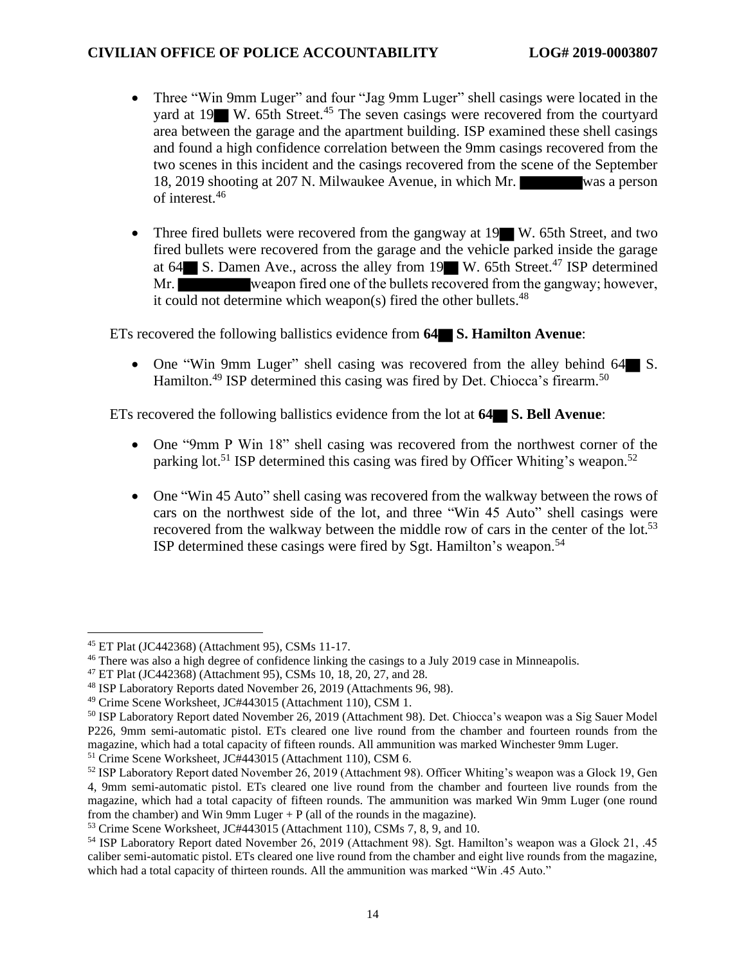- Three "Win 9mm Luger" and four "Jag 9mm Luger" shell casings were located in the yard at 19 W. 65th Street.<sup>45</sup> The seven casings were recovered from the courtyard area between the garage and the apartment building. ISP examined these shell casings and found a high confidence correlation between the 9mm casings recovered from the two scenes in this incident and the casings recovered from the scene of the September 18, 2019 shooting at 207 N. Milwaukee Avenue, in which Mr. was a person of interest.<sup>46</sup>
- Three fired bullets were recovered from the gangway at 19 W. 65th Street, and two fired bullets were recovered from the garage and the vehicle parked inside the garage at 64 S. Damen Ave., across the alley from 19 W. 65th Street.<sup>47</sup> ISP determined Mr. it could not determine which weapon(s) fired the other bullets.<sup>48</sup>

ETs recovered the following ballistics evidence from **64 S. Hamilton Avenue**:

• One "Win 9mm Luger" shell casing was recovered from the alley behind 64 S. Hamilton.<sup>49</sup> ISP determined this casing was fired by Det. Chiocca's firearm.<sup>50</sup>

ETs recovered the following ballistics evidence from the lot at **64 S. Bell Avenue**:

- One "9mm P Win 18" shell casing was recovered from the northwest corner of the parking lot.<sup>51</sup> ISP determined this casing was fired by Officer Whiting's weapon.<sup>52</sup>
- One "Win 45 Auto" shell casing was recovered from the walkway between the rows of cars on the northwest side of the lot, and three "Win 45 Auto" shell casings were recovered from the walkway between the middle row of cars in the center of the lot.<sup>53</sup> ISP determined these casings were fired by Sgt. Hamilton's weapon.<sup>54</sup>

<sup>45</sup> ET Plat (JC442368) (Attachment 95), CSMs 11-17.

<sup>&</sup>lt;sup>46</sup> There was also a high degree of confidence linking the casings to a July 2019 case in Minneapolis.

<sup>47</sup> ET Plat (JC442368) (Attachment 95), CSMs 10, 18, 20, 27, and 28.

<sup>48</sup> ISP Laboratory Reports dated November 26, 2019 (Attachments 96, 98).

<sup>49</sup> Crime Scene Worksheet, JC#443015 (Attachment 110), CSM 1.

<sup>50</sup> ISP Laboratory Report dated November 26, 2019 (Attachment 98). Det. Chiocca's weapon was a Sig Sauer Model P226, 9mm semi-automatic pistol. ETs cleared one live round from the chamber and fourteen rounds from the magazine, which had a total capacity of fifteen rounds. All ammunition was marked Winchester 9mm Luger.

<sup>51</sup> Crime Scene Worksheet, JC#443015 (Attachment 110), CSM 6.

<sup>52</sup> ISP Laboratory Report dated November 26, 2019 (Attachment 98). Officer Whiting's weapon was a Glock 19, Gen 4, 9mm semi-automatic pistol. ETs cleared one live round from the chamber and fourteen live rounds from the magazine, which had a total capacity of fifteen rounds. The ammunition was marked Win 9mm Luger (one round from the chamber) and Win 9mm Luger  $+ P$  (all of the rounds in the magazine).

<sup>53</sup> Crime Scene Worksheet, JC#443015 (Attachment 110), CSMs 7, 8, 9, and 10.

<sup>54</sup> ISP Laboratory Report dated November 26, 2019 (Attachment 98). Sgt. Hamilton's weapon was a Glock 21, .45 caliber semi-automatic pistol. ETs cleared one live round from the chamber and eight live rounds from the magazine, which had a total capacity of thirteen rounds. All the ammunition was marked "Win .45 Auto."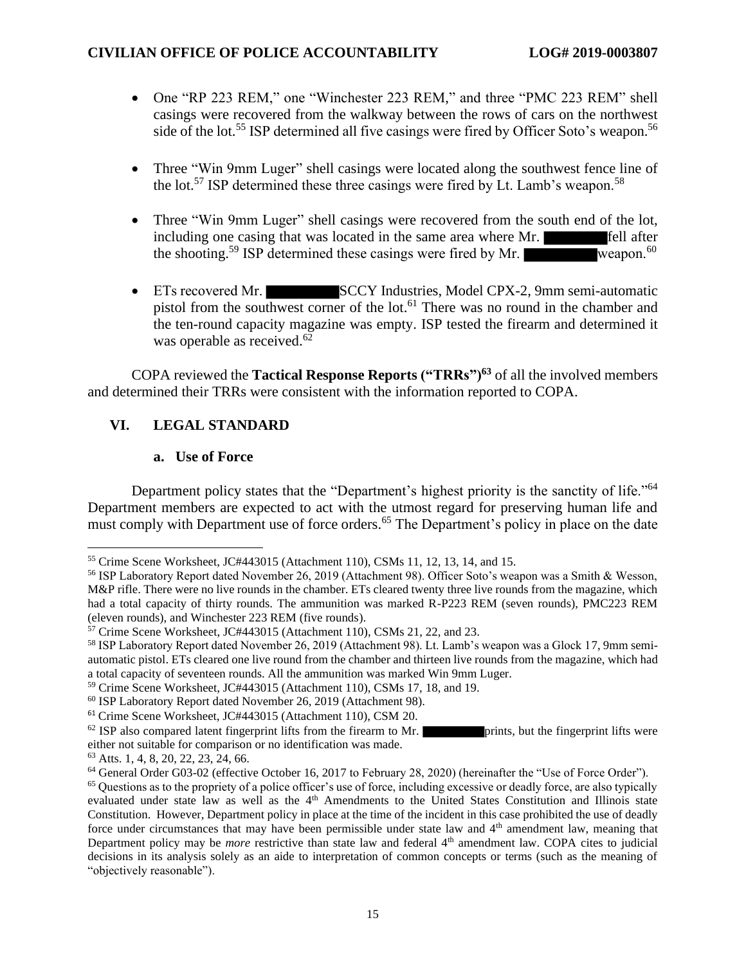- One "RP 223 REM," one "Winchester 223 REM," and three "PMC 223 REM" shell casings were recovered from the walkway between the rows of cars on the northwest side of the lot.<sup>55</sup> ISP determined all five casings were fired by Officer Soto's weapon.<sup>56</sup>
- Three "Win 9mm Luger" shell casings were located along the southwest fence line of the lot.<sup>57</sup> ISP determined these three casings were fired by Lt. Lamb's weapon.<sup>58</sup>
- Three "Win 9mm Luger" shell casings were recovered from the south end of the lot, including one casing that was located in the same area where Mr. the shooting.<sup>59</sup> ISP determined these casings were fired by Mr. weapon.<sup>60</sup>
- ETs recovered Mr. SCCY Industries, Model CPX-2, 9mm semi-automatic pistol from the southwest corner of the lot.<sup>61</sup> There was no round in the chamber and the ten-round capacity magazine was empty. ISP tested the firearm and determined it was operable as received.<sup>62</sup>

COPA reviewed the **Tactical Response Reports ("TRRs")<sup>63</sup>** of all the involved members and determined their TRRs were consistent with the information reported to COPA.

# **VI. LEGAL STANDARD**

## **a. Use of Force**

Department policy states that the "Department's highest priority is the sanctity of life."<sup>64</sup> Department members are expected to act with the utmost regard for preserving human life and must comply with Department use of force orders.<sup>65</sup> The Department's policy in place on the date

 $62$  ISP also compared latent fingerprint lifts from the firearm to Mr. prints, but the fingerprint lifts were either not suitable for comparison or no identification was made.

<sup>55</sup> Crime Scene Worksheet, JC#443015 (Attachment 110), CSMs 11, 12, 13, 14, and 15.

<sup>56</sup> ISP Laboratory Report dated November 26, 2019 (Attachment 98). Officer Soto's weapon was a Smith & Wesson, M&P rifle. There were no live rounds in the chamber. ETs cleared twenty three live rounds from the magazine, which had a total capacity of thirty rounds. The ammunition was marked R-P223 REM (seven rounds), PMC223 REM (eleven rounds), and Winchester 223 REM (five rounds).

<sup>57</sup> Crime Scene Worksheet, JC#443015 (Attachment 110), CSMs 21, 22, and 23.

<sup>58</sup> ISP Laboratory Report dated November 26, 2019 (Attachment 98). Lt. Lamb's weapon was a Glock 17, 9mm semiautomatic pistol. ETs cleared one live round from the chamber and thirteen live rounds from the magazine, which had a total capacity of seventeen rounds. All the ammunition was marked Win 9mm Luger.

<sup>59</sup> Crime Scene Worksheet, JC#443015 (Attachment 110), CSMs 17, 18, and 19.

<sup>60</sup> ISP Laboratory Report dated November 26, 2019 (Attachment 98).

<sup>61</sup> Crime Scene Worksheet, JC#443015 (Attachment 110), CSM 20.

<sup>63</sup> Atts. 1, 4, 8, 20, 22, 23, 24, 66.

<sup>64</sup> General Order G03-02 (effective October 16, 2017 to February 28, 2020) (hereinafter the "Use of Force Order").

<sup>&</sup>lt;sup>65</sup> Questions as to the propriety of a police officer's use of force, including excessive or deadly force, are also typically evaluated under state law as well as the 4<sup>th</sup> Amendments to the United States Constitution and Illinois state Constitution. However, Department policy in place at the time of the incident in this case prohibited the use of deadly force under circumstances that may have been permissible under state law and 4<sup>th</sup> amendment law, meaning that Department policy may be *more* restrictive than state law and federal 4<sup>th</sup> amendment law. COPA cites to judicial decisions in its analysis solely as an aide to interpretation of common concepts or terms (such as the meaning of "objectively reasonable").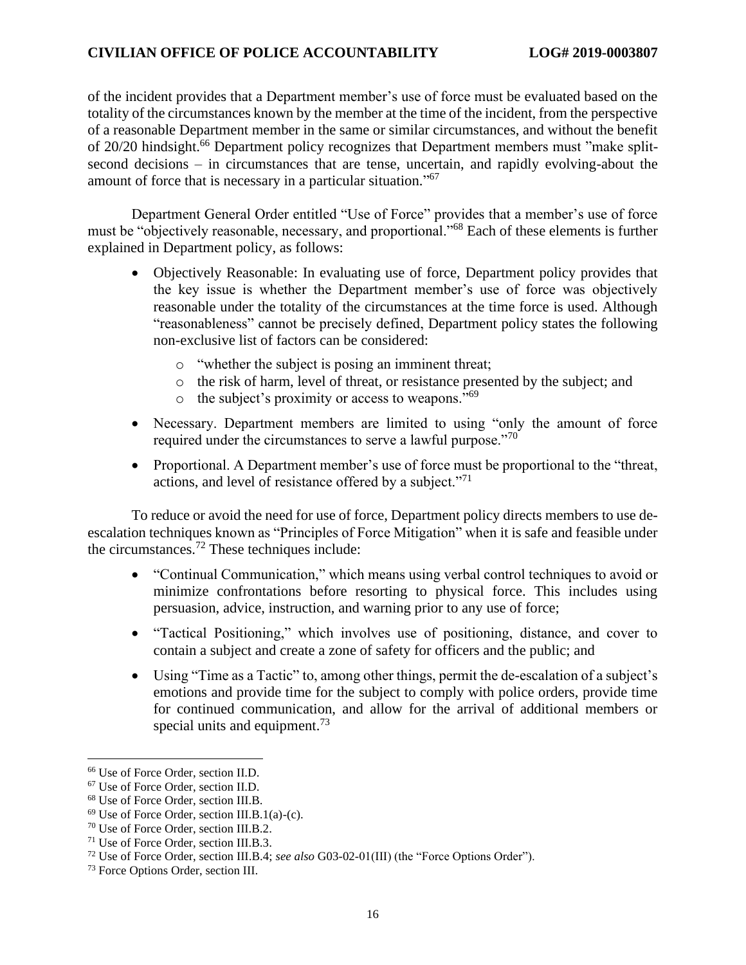of the incident provides that a Department member's use of force must be evaluated based on the totality of the circumstances known by the member at the time of the incident, from the perspective of a reasonable Department member in the same or similar circumstances, and without the benefit of 20/20 hindsight.<sup>66</sup> Department policy recognizes that Department members must "make splitsecond decisions – in circumstances that are tense, uncertain, and rapidly evolving-about the amount of force that is necessary in a particular situation."<sup>67</sup>

Department General Order entitled "Use of Force" provides that a member's use of force must be "objectively reasonable, necessary, and proportional."<sup>68</sup> Each of these elements is further explained in Department policy, as follows:

- Objectively Reasonable: In evaluating use of force, Department policy provides that the key issue is whether the Department member's use of force was objectively reasonable under the totality of the circumstances at the time force is used. Although "reasonableness" cannot be precisely defined, Department policy states the following non-exclusive list of factors can be considered:
	- o "whether the subject is posing an imminent threat;
	- o the risk of harm, level of threat, or resistance presented by the subject; and
	- $\circ$  the subject's proximity or access to weapons."<sup>69</sup>
- Necessary. Department members are limited to using "only the amount of force required under the circumstances to serve a lawful purpose."<sup>70</sup>
- Proportional. A Department member's use of force must be proportional to the "threat, actions, and level of resistance offered by a subject."<sup>71</sup>

To reduce or avoid the need for use of force, Department policy directs members to use deescalation techniques known as "Principles of Force Mitigation" when it is safe and feasible under the circumstances.<sup>72</sup> These techniques include:

- "Continual Communication," which means using verbal control techniques to avoid or minimize confrontations before resorting to physical force. This includes using persuasion, advice, instruction, and warning prior to any use of force;
- "Tactical Positioning," which involves use of positioning, distance, and cover to contain a subject and create a zone of safety for officers and the public; and
- Using "Time as a Tactic" to, among other things, permit the de-escalation of a subject's emotions and provide time for the subject to comply with police orders, provide time for continued communication, and allow for the arrival of additional members or special units and equipment.<sup>73</sup>

<sup>66</sup> Use of Force Order, section II.D.

<sup>67</sup> Use of Force Order, section II.D.

<sup>68</sup> Use of Force Order, section III.B.

 $69$  Use of Force Order, section III.B.1(a)-(c).

<sup>70</sup> Use of Force Order, section III.B.2.

<sup>71</sup> Use of Force Order, section III.B.3.

<sup>72</sup> Use of Force Order, section III.B.4; *see also* G03-02-01(III) (the "Force Options Order").

<sup>73</sup> Force Options Order, section III.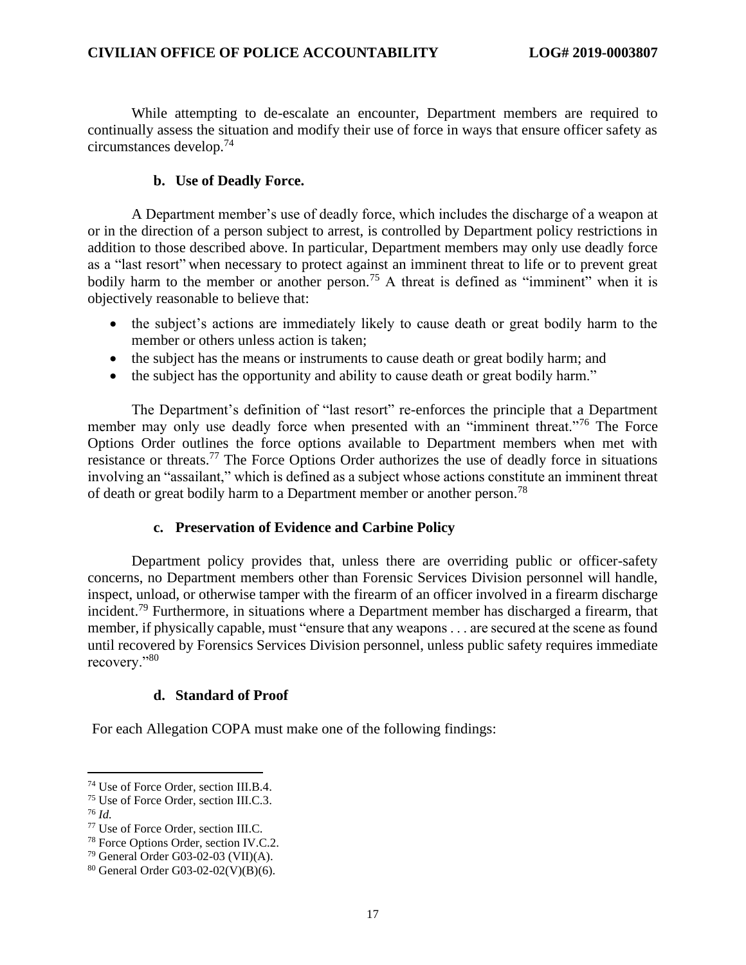While attempting to de-escalate an encounter, Department members are required to continually assess the situation and modify their use of force in ways that ensure officer safety as circumstances develop.<sup>74</sup>

#### **b. Use of Deadly Force.**

A Department member's use of deadly force, which includes the discharge of a weapon at or in the direction of a person subject to arrest, is controlled by Department policy restrictions in addition to those described above. In particular, Department members may only use deadly force as a "last resort" when necessary to protect against an imminent threat to life or to prevent great bodily harm to the member or another person.<sup>75</sup> A threat is defined as "imminent" when it is objectively reasonable to believe that:

- the subject's actions are immediately likely to cause death or great bodily harm to the member or others unless action is taken;
- the subject has the means or instruments to cause death or great bodily harm; and
- the subject has the opportunity and ability to cause death or great bodily harm."

The Department's definition of "last resort" re-enforces the principle that a Department member may only use deadly force when presented with an "imminent threat."<sup>76</sup> The Force Options Order outlines the force options available to Department members when met with resistance or threats.<sup>77</sup> The Force Options Order authorizes the use of deadly force in situations involving an "assailant," which is defined as a subject whose actions constitute an imminent threat of death or great bodily harm to a Department member or another person.<sup>78</sup>

#### **c. Preservation of Evidence and Carbine Policy**

Department policy provides that, unless there are overriding public or officer-safety concerns, no Department members other than Forensic Services Division personnel will handle, inspect, unload, or otherwise tamper with the firearm of an officer involved in a firearm discharge incident.<sup>79</sup> Furthermore, in situations where a Department member has discharged a firearm, that member, if physically capable, must "ensure that any weapons . . . are secured at the scene as found until recovered by Forensics Services Division personnel, unless public safety requires immediate recovery."<sup>80</sup>

#### **d. Standard of Proof**

For each Allegation COPA must make one of the following findings:

<sup>74</sup> Use of Force Order, section III.B.4.

<sup>75</sup> Use of Force Order, section III.C.3.

<sup>76</sup> *Id.*

<sup>77</sup> Use of Force Order, section III.C.

<sup>78</sup> Force Options Order, section IV.C.2.

<sup>79</sup> General Order G03-02-03 (VII)(A).

<sup>80</sup> General Order G03-02-02(V)(B)(6).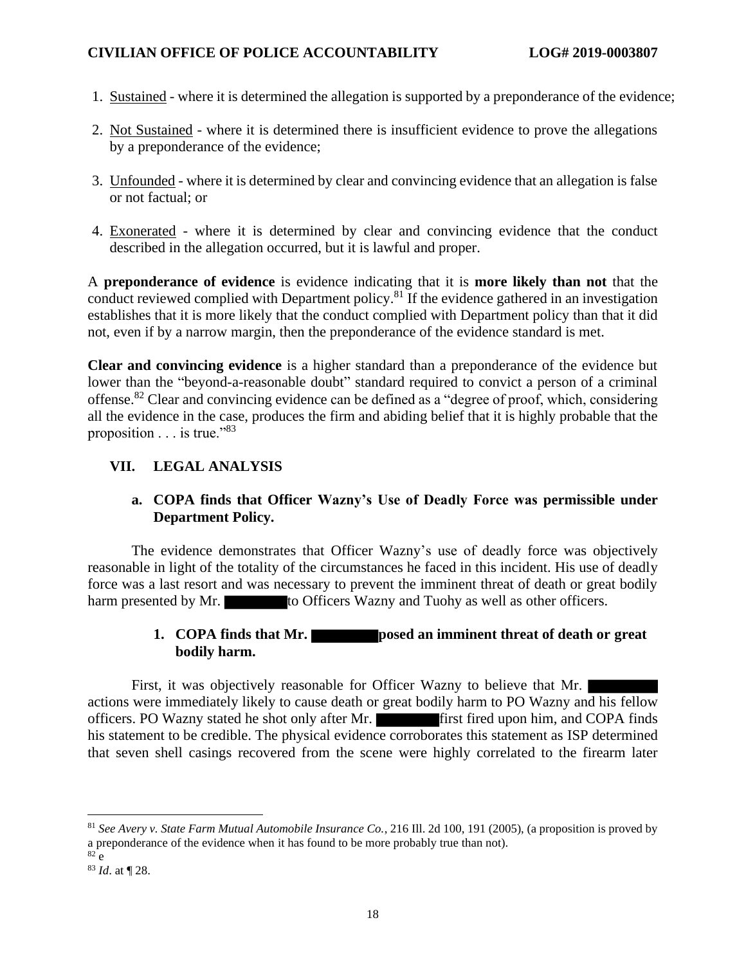- 1. Sustained where it is determined the allegation is supported by a preponderance of the evidence;
- 2. Not Sustained where it is determined there is insufficient evidence to prove the allegations by a preponderance of the evidence;
- 3. Unfounded where it is determined by clear and convincing evidence that an allegation is false or not factual; or
- 4. Exonerated where it is determined by clear and convincing evidence that the conduct described in the allegation occurred, but it is lawful and proper.

A **preponderance of evidence** is evidence indicating that it is **more likely than not** that the conduct reviewed complied with Department policy.<sup>81</sup> If the evidence gathered in an investigation establishes that it is more likely that the conduct complied with Department policy than that it did not, even if by a narrow margin, then the preponderance of the evidence standard is met.

**Clear and convincing evidence** is a higher standard than a preponderance of the evidence but lower than the "beyond-a-reasonable doubt" standard required to convict a person of a criminal offense.<sup>82</sup> Clear and convincing evidence can be defined as a "degree of proof, which, considering all the evidence in the case, produces the firm and abiding belief that it is highly probable that the proposition  $\ldots$  is true."<sup>83</sup>

## **VII. LEGAL ANALYSIS**

## **a. COPA finds that Officer Wazny's Use of Deadly Force was permissible under Department Policy.**

The evidence demonstrates that Officer Wazny's use of deadly force was objectively reasonable in light of the totality of the circumstances he faced in this incident. His use of deadly force was a last resort and was necessary to prevent the imminent threat of death or great bodily harm presented by Mr. to Officers Wazny and Tuohy as well as other officers.

## **1. COPA finds that Mr. posed an imminent threat of death or great bodily harm.**

First, it was objectively reasonable for Officer Wazny to believe that Mr. actions were immediately likely to cause death or great bodily harm to PO Wazny and his fellow officers. PO Wazny stated he shot only after Mr. **First fired upon him, and COPA finds** his statement to be credible. The physical evidence corroborates this statement as ISP determined that seven shell casings recovered from the scene were highly correlated to the firearm later

<sup>81</sup> *See Avery v. State Farm Mutual Automobile Insurance Co.*, 216 Ill. 2d 100, 191 (2005), (a proposition is proved by a preponderance of the evidence when it has found to be more probably true than not).

 $82$  e

<sup>83</sup> *Id*. at ¶ 28.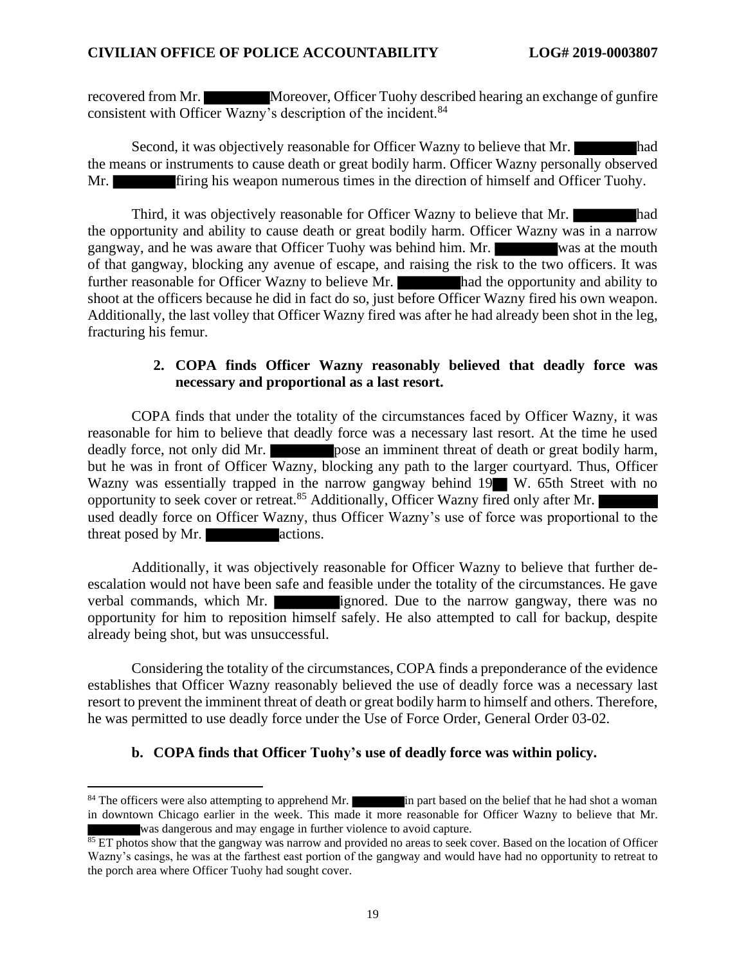recovered from Mr. Moreover, Officer Tuohy described hearing an exchange of gunfire consistent with Officer Wazny's description of the incident.<sup>84</sup>

Second, it was objectively reasonable for Officer Wazny to believe that Mr. the means or instruments to cause death or great bodily harm. Officer Wazny personally observed Mr. **Firing his weapon numerous times in the direction of himself and Officer Tuohy.** 

Third, it was objectively reasonable for Officer Wazny to believe that Mr. the opportunity and ability to cause death or great bodily harm. Officer Wazny was in a narrow gangway, and he was aware that Officer Tuohy was behind him. Mr. was at the mouth of that gangway, blocking any avenue of escape, and raising the risk to the two officers. It was further reasonable for Officer Wazny to believe Mr. had the opportunity and ability to shoot at the officers because he did in fact do so, just before Officer Wazny fired his own weapon. Additionally, the last volley that Officer Wazny fired was after he had already been shot in the leg, fracturing his femur.

## **2. COPA finds Officer Wazny reasonably believed that deadly force was necessary and proportional as a last resort.**

COPA finds that under the totality of the circumstances faced by Officer Wazny, it was reasonable for him to believe that deadly force was a necessary last resort. At the time he used deadly force, not only did Mr. pose an imminent threat of death or great bodily harm, but he was in front of Officer Wazny, blocking any path to the larger courtyard. Thus, Officer Wazny was essentially trapped in the narrow gangway behind 19 W. 65th Street with no opportunity to seek cover or retreat.<sup>85</sup> Additionally, Officer Wazny fired only after Mr. used deadly force on Officer Wazny, thus Officer Wazny's use of force was proportional to the threat posed by Mr. actions.

Additionally, it was objectively reasonable for Officer Wazny to believe that further deescalation would not have been safe and feasible under the totality of the circumstances. He gave verbal commands, which Mr. ignored. Due to the narrow gangway, there was no opportunity for him to reposition himself safely. He also attempted to call for backup, despite already being shot, but was unsuccessful.

Considering the totality of the circumstances, COPA finds a preponderance of the evidence establishes that Officer Wazny reasonably believed the use of deadly force was a necessary last resort to prevent the imminent threat of death or great bodily harm to himself and others. Therefore, he was permitted to use deadly force under the Use of Force Order, General Order 03-02.

#### **b. COPA finds that Officer Tuohy's use of deadly force was within policy.**

<sup>&</sup>lt;sup>84</sup> The officers were also attempting to apprehend Mr. in part based on the belief that he had shot a woman in downtown Chicago earlier in the week. This made it more reasonable for Officer Wazny to believe that Mr. was dangerous and may engage in further violence to avoid capture.

<sup>&</sup>lt;sup>85</sup> ET photos show that the gangway was narrow and provided no areas to seek cover. Based on the location of Officer Wazny's casings, he was at the farthest east portion of the gangway and would have had no opportunity to retreat to the porch area where Officer Tuohy had sought cover.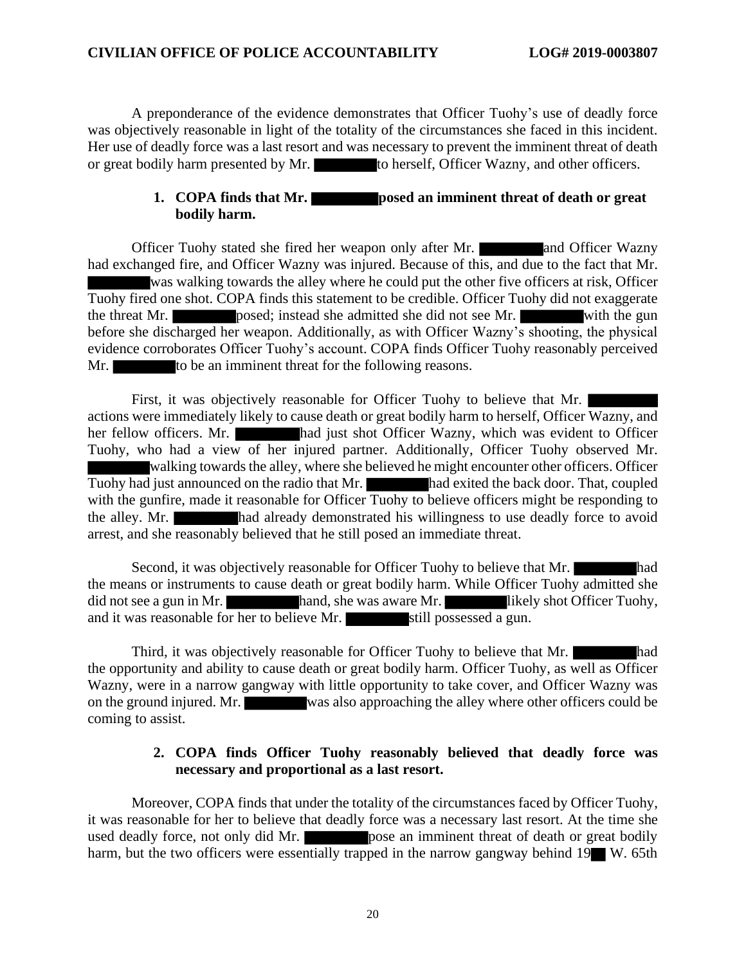A preponderance of the evidence demonstrates that Officer Tuohy's use of deadly force was objectively reasonable in light of the totality of the circumstances she faced in this incident. Her use of deadly force was a last resort and was necessary to prevent the imminent threat of death or great bodily harm presented by Mr. to herself, Officer Wazny, and other officers.

## **1. COPA finds that Mr. posed an imminent threat of death or great bodily harm.**

Officer Tuohy stated she fired her weapon only after Mr. **All and Officer Wazny** had exchanged fire, and Officer Wazny was injured. Because of this, and due to the fact that Mr. was walking towards the alley where he could put the other five officers at risk, Officer Tuohy fired one shot. COPA finds this statement to be credible. Officer Tuohy did not exaggerate the threat Mr. posed; instead she admitted she did not see Mr. with the gun before she discharged her weapon. Additionally, as with Officer Wazny's shooting, the physical evidence corroborates Officer Tuohy's account. COPA finds Officer Tuohy reasonably perceived Mr. to be an imminent threat for the following reasons.

First, it was objectively reasonable for Officer Tuohy to believe that Mr. actions were immediately likely to cause death or great bodily harm to herself, Officer Wazny, and her fellow officers. Mr. had just shot Officer Wazny, which was evident to Officer Tuohy, who had a view of her injured partner. Additionally, Officer Tuohy observed Mr. walking towards the alley, where she believed he might encounter other officers. Officer Tuohy had just announced on the radio that Mr. had exited the back door. That, coupled with the gunfire, made it reasonable for Officer Tuohy to believe officers might be responding to the alley. Mr. had already demonstrated his willingness to use deadly force to avoid arrest, and she reasonably believed that he still posed an immediate threat.

Second, it was objectively reasonable for Officer Tuohy to believe that Mr. the means or instruments to cause death or great bodily harm. While Officer Tuohy admitted she did not see a gun in Mr. hand, she was aware Mr. likely shot Officer Tuohy, and it was reasonable for her to believe Mr.  $\overline{\phantom{a}}$  still possessed a gun.

Third, it was objectively reasonable for Officer Tuohy to believe that Mr. the opportunity and ability to cause death or great bodily harm. Officer Tuohy, as well as Officer Wazny, were in a narrow gangway with little opportunity to take cover, and Officer Wazny was on the ground injured. Mr. was also approaching the alley where other officers could be coming to assist.

#### **2. COPA finds Officer Tuohy reasonably believed that deadly force was necessary and proportional as a last resort.**

Moreover, COPA finds that under the totality of the circumstances faced by Officer Tuohy, it was reasonable for her to believe that deadly force was a necessary last resort. At the time she used deadly force, not only did Mr. **pose** an imminent threat of death or great bodily harm, but the two officers were essentially trapped in the narrow gangway behind 19 W. 65th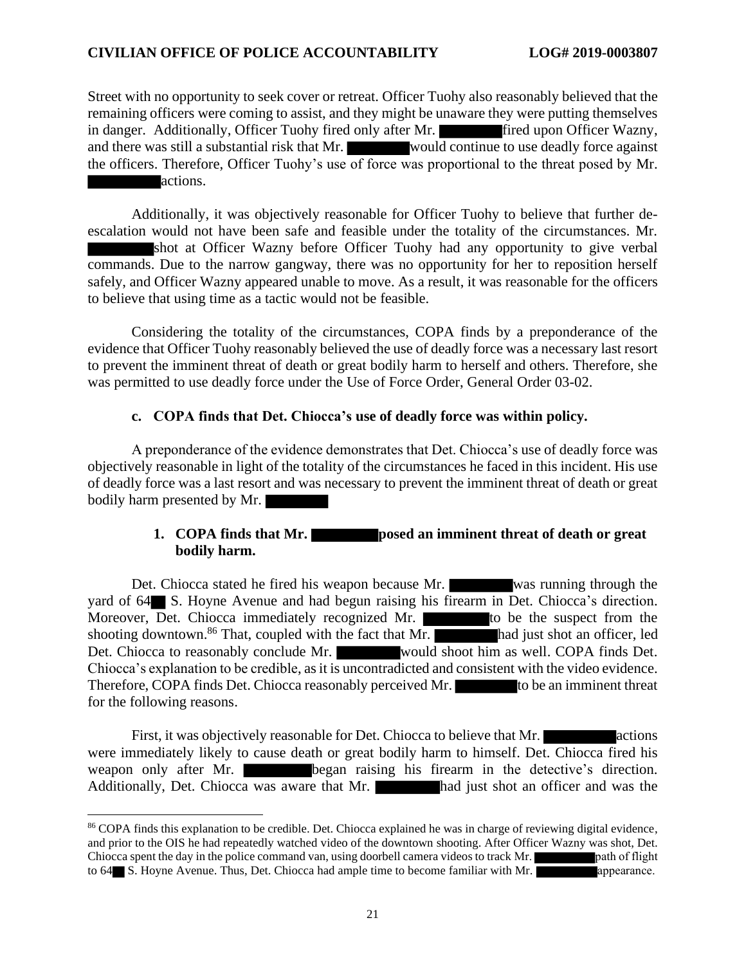Street with no opportunity to seek cover or retreat. Officer Tuohy also reasonably believed that the remaining officers were coming to assist, and they might be unaware they were putting themselves in danger. Additionally, Officer Tuohy fired only after Mr. **Fired upon Officer Wazny**, and there was still a substantial risk that Mr. would continue to use deadly force against the officers. Therefore, Officer Tuohy's use of force was proportional to the threat posed by Mr. actions.

Additionally, it was objectively reasonable for Officer Tuohy to believe that further deescalation would not have been safe and feasible under the totality of the circumstances. Mr. shot at Officer Wazny before Officer Tuohy had any opportunity to give verbal commands. Due to the narrow gangway, there was no opportunity for her to reposition herself safely, and Officer Wazny appeared unable to move. As a result, it was reasonable for the officers to believe that using time as a tactic would not be feasible.

Considering the totality of the circumstances, COPA finds by a preponderance of the evidence that Officer Tuohy reasonably believed the use of deadly force was a necessary last resort to prevent the imminent threat of death or great bodily harm to herself and others. Therefore, she was permitted to use deadly force under the Use of Force Order, General Order 03-02.

#### **c. COPA finds that Det. Chiocca's use of deadly force was within policy.**

A preponderance of the evidence demonstrates that Det. Chiocca's use of deadly force was objectively reasonable in light of the totality of the circumstances he faced in this incident. His use of deadly force was a last resort and was necessary to prevent the imminent threat of death or great bodily harm presented by Mr.

## **1. COPA finds that Mr. posed an imminent threat of death or great bodily harm.**

Det. Chiocca stated he fired his weapon because Mr. was running through the yard of  $64$  S. Hoyne Avenue and had begun raising his firearm in Det. Chiocca's direction. Moreover,  $\overline{D}$ et. Chiocca immediately recognized Mr.  $\overline{D}$  to be the suspect from the shooting downtown.<sup>86</sup> That, coupled with the fact that Mr. had just shot an officer, led Det. Chiocca to reasonably conclude Mr. would shoot him as well. COPA finds Det. Chiocca's explanation to be credible, as it is uncontradicted and consistent with the video evidence. Therefore, COPA finds Det. Chiocca reasonably perceived Mr. to be an imminent threat for the following reasons.

First, it was objectively reasonable for Det. Chiocca to believe that Mr. were immediately likely to cause death or great bodily harm to himself. Det. Chiocca fired his weapon only after Mr. began raising his firearm in the detective's direction. Additionally, Det. Chiocca was aware that Mr. had just shot an officer and was the

<sup>86</sup> COPA finds this explanation to be credible. Det. Chiocca explained he was in charge of reviewing digital evidence, and prior to the OIS he had repeatedly watched video of the downtown shooting. After Officer Wazny was shot, Det. Chiocca spent the day in the police command van, using doorbell camera videos to track Mr. path of flight to 64 S. Hoyne Avenue. Thus, Det. Chiocca had ample time to become familiar with Mr. **a**ppearance.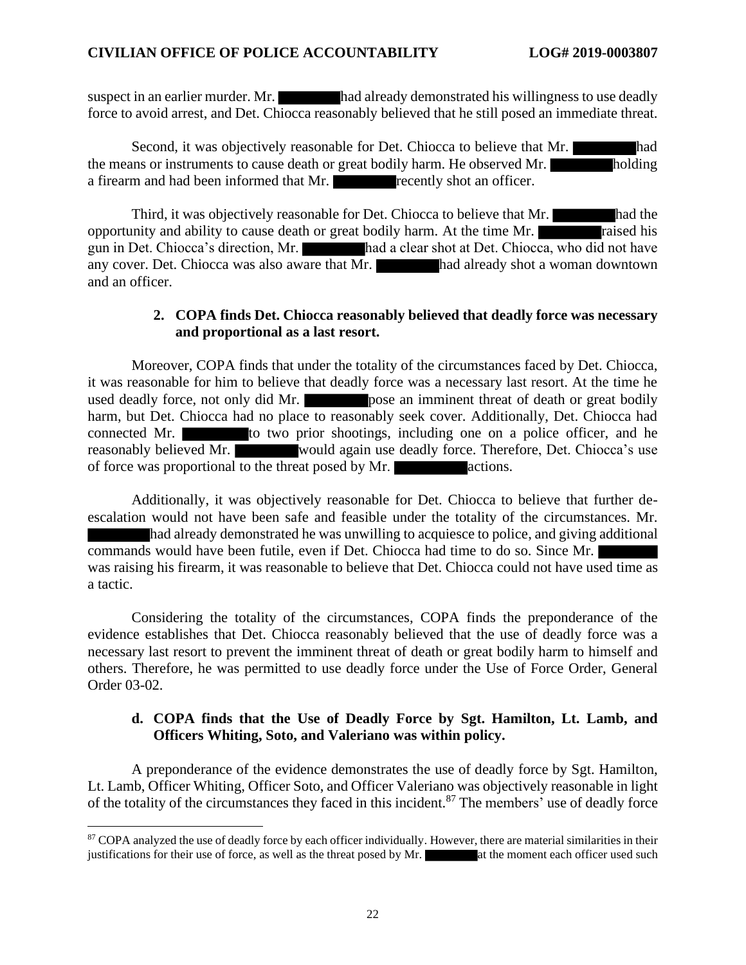suspect in an earlier murder. Mr. had already demonstrated his willingness to use deadly force to avoid arrest, and Det. Chiocca reasonably believed that he still posed an immediate threat.

Second, it was objectively reasonable for Det. Chiocca to believe that Mr. the means or instruments to cause death or great bodily harm. He observed Mr. holding a firearm and had been informed that Mr. **recently shot an officer.** 

Third, it was objectively reasonable for Det. Chiocca to believe that Mr. opportunity and ability to cause death or great bodily harm. At the time Mr. raised his gun in Det. Chiocca's direction, Mr. had a clear shot at Det. Chiocca, who did not have any cover. Det. Chiocca was also aware that Mr. had already shot a woman downtown and an officer.

#### **2. COPA finds Det. Chiocca reasonably believed that deadly force was necessary and proportional as a last resort.**

Moreover, COPA finds that under the totality of the circumstances faced by Det. Chiocca, it was reasonable for him to believe that deadly force was a necessary last resort. At the time he used deadly force, not only did Mr. harm, but Det. Chiocca had no place to reasonably seek cover. Additionally, Det. Chiocca had connected Mr. to two prior shootings, including one on a police officer, and he reasonably believed Mr. would again use deadly force. Therefore, Det. Chiocca's use of force was proportional to the threat posed by Mr. actions.

Additionally, it was objectively reasonable for Det. Chiocca to believe that further deescalation would not have been safe and feasible under the totality of the circumstances. Mr. had already demonstrated he was unwilling to acquiesce to police, and giving additional commands would have been futile, even if Det. Chiocca had time to do so. Since Mr. was raising his firearm, it was reasonable to believe that Det. Chiocca could not have used time as a tactic.

Considering the totality of the circumstances, COPA finds the preponderance of the evidence establishes that Det. Chiocca reasonably believed that the use of deadly force was a necessary last resort to prevent the imminent threat of death or great bodily harm to himself and others. Therefore, he was permitted to use deadly force under the Use of Force Order, General Order 03-02.

#### **d. COPA finds that the Use of Deadly Force by Sgt. Hamilton, Lt. Lamb, and Officers Whiting, Soto, and Valeriano was within policy.**

A preponderance of the evidence demonstrates the use of deadly force by Sgt. Hamilton, Lt. Lamb, Officer Whiting, Officer Soto, and Officer Valeriano was objectively reasonable in light of the totality of the circumstances they faced in this incident.<sup>87</sup> The members' use of deadly force

<sup>87</sup> COPA analyzed the use of deadly force by each officer individually. However, there are material similarities in their justifications for their use of force, as well as the threat posed by Mr.  $\blacksquare$  at the moment each officer used such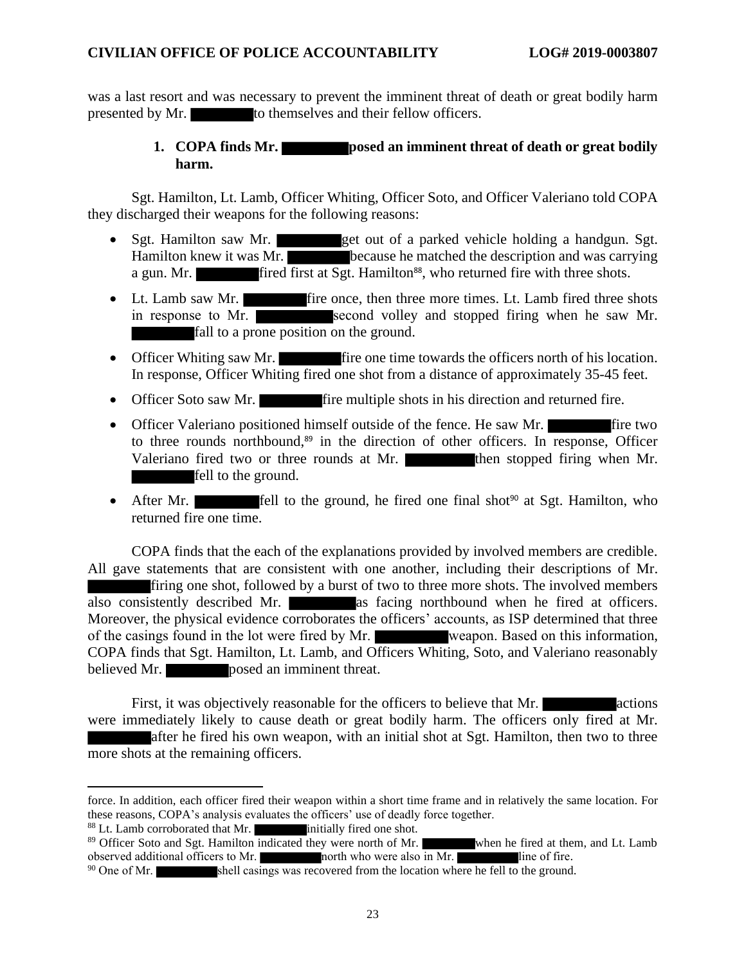was a last resort and was necessary to prevent the imminent threat of death or great bodily harm presented by Mr. to themselves and their fellow officers.

## **1. COPA finds Mr. posed an imminent threat of death or great bodily harm.**

Sgt. Hamilton, Lt. Lamb, Officer Whiting, Officer Soto, and Officer Valeriano told COPA they discharged their weapons for the following reasons:

- Sgt. Hamilton saw Mr. get out of a parked vehicle holding a handgun. Sgt. Hamilton knew it was Mr. because he matched the description and was carrying a gun. Mr. **fired first at Sgt. Hamilton<sup>88</sup>**, who returned fire with three shots.
- Lt. Lamb saw Mr. fire once, then three more times. Lt. Lamb fired three shots in response to Mr. second volley and stopped firing when he saw Mr. fall to a prone position on the ground.
- Officer Whiting saw Mr. fire one time towards the officers north of his location. In response, Officer Whiting fired one shot from a distance of approximately 35-45 feet.
- Officer Soto saw Mr. **fire** multiple shots in his direction and returned fire.
- Officer Valeriano positioned himself outside of the fence. He saw Mr. to three rounds northbound, <sup>89</sup> in the direction of other officers. In response, Officer Valeriano fired two or three rounds at Mr. fell to the ground.
- After Mr. **fell** to the ground, he fired one final shot<sup>90</sup> at Sgt. Hamilton, who returned fire one time.

COPA finds that the each of the explanations provided by involved members are credible. All gave statements that are consistent with one another, including their descriptions of Mr. firing one shot, followed by a burst of two to three more shots. The involved members also consistently described Mr. as facing northbound when he fired at officers. Moreover, the physical evidence corroborates the officers' accounts, as ISP determined that three of the casings found in the lot were fired by Mr. weapon. Based on this information, COPA finds that Sgt. Hamilton, Lt. Lamb, and Officers Whiting, Soto, and Valeriano reasonably believed Mr. posed an imminent threat.

First, it was objectively reasonable for the officers to believe that Mr. actions were immediately likely to cause death or great bodily harm. The officers only fired at Mr. after he fired his own weapon, with an initial shot at Sgt. Hamilton, then two to three more shots at the remaining officers.

force. In addition, each officer fired their weapon within a short time frame and in relatively the same location. For these reasons, COPA's analysis evaluates the officers' use of deadly force together.

 $88$  Lt. Lamb corroborated that Mr. initially fired one shot.

<sup>&</sup>lt;sup>89</sup> Officer Soto and Sgt. Hamilton indicated they were north of Mr. when he fired at them, and Lt. Lamb observed additional officers to Mr. north who were also in Mr. line of fire.

 $90$  One of Mr. shell casings was recovered from the location where he fell to the ground.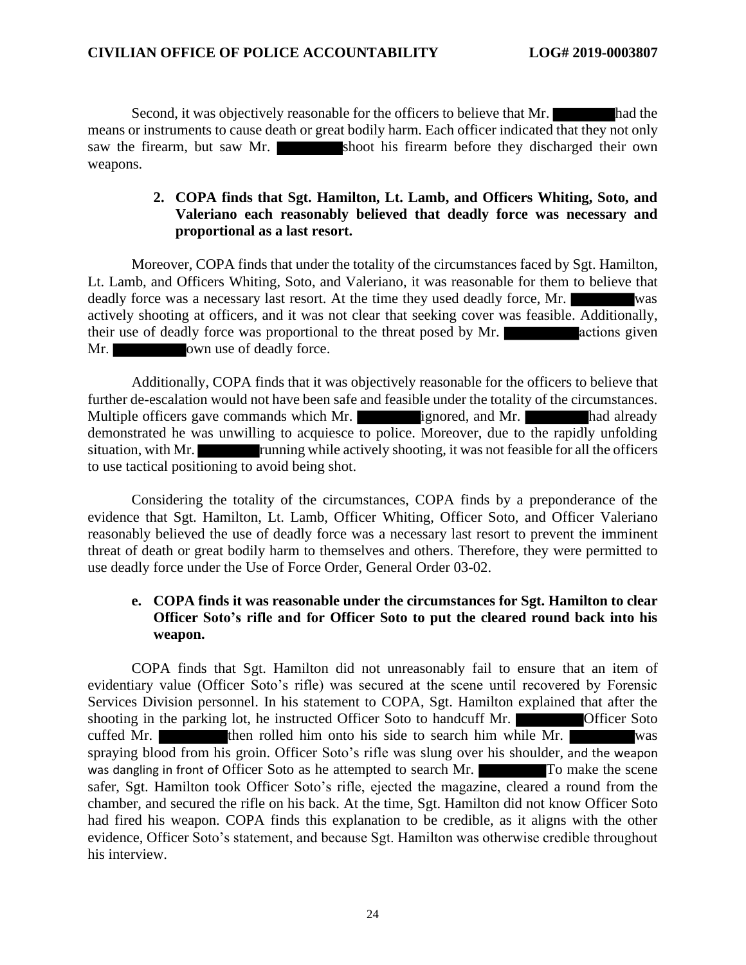Second, it was objectively reasonable for the officers to believe that Mr. had the means or instruments to cause death or great bodily harm. Each officer indicated that they not only saw the firearm, but saw Mr. shoot his firearm before they discharged their own weapons.

## **2. COPA finds that Sgt. Hamilton, Lt. Lamb, and Officers Whiting, Soto, and Valeriano each reasonably believed that deadly force was necessary and proportional as a last resort.**

Moreover, COPA finds that under the totality of the circumstances faced by Sgt. Hamilton, Lt. Lamb, and Officers Whiting, Soto, and Valeriano, it was reasonable for them to believe that deadly force was a necessary last resort. At the time they used deadly force, Mr. actively shooting at officers, and it was not clear that seeking cover was feasible. Additionally, their use of deadly force was proportional to the threat posed by Mr. actions given Mr. own use of deadly force.

Additionally, COPA finds that it was objectively reasonable for the officers to believe that further de-escalation would not have been safe and feasible under the totality of the circumstances. Multiple officers gave commands which Mr. ignored, and Mr. had already demonstrated he was unwilling to acquiesce to police. Moreover, due to the rapidly unfolding situation, with Mr. **running** while actively shooting, it was not feasible for all the officers to use tactical positioning to avoid being shot.

Considering the totality of the circumstances, COPA finds by a preponderance of the evidence that Sgt. Hamilton, Lt. Lamb, Officer Whiting, Officer Soto, and Officer Valeriano reasonably believed the use of deadly force was a necessary last resort to prevent the imminent threat of death or great bodily harm to themselves and others. Therefore, they were permitted to use deadly force under the Use of Force Order, General Order 03-02.

## **e. COPA finds it was reasonable under the circumstances for Sgt. Hamilton to clear Officer Soto's rifle and for Officer Soto to put the cleared round back into his weapon.**

COPA finds that Sgt. Hamilton did not unreasonably fail to ensure that an item of evidentiary value (Officer Soto's rifle) was secured at the scene until recovered by Forensic Services Division personnel. In his statement to COPA, Sgt. Hamilton explained that after the shooting in the parking lot, he instructed Officer Soto to handcuff Mr. **Officer Soto** cuffed Mr. then rolled him onto his side to search him while Mr. was spraying blood from his groin. Officer Soto's rifle was slung over his shoulder, and the weapon was dangling in front of Officer Soto as he attempted to search Mr. To make the scene safer, Sgt. Hamilton took Officer Soto's rifle, ejected the magazine, cleared a round from the chamber, and secured the rifle on his back. At the time, Sgt. Hamilton did not know Officer Soto had fired his weapon. COPA finds this explanation to be credible, as it aligns with the other evidence, Officer Soto's statement, and because Sgt. Hamilton was otherwise credible throughout his interview.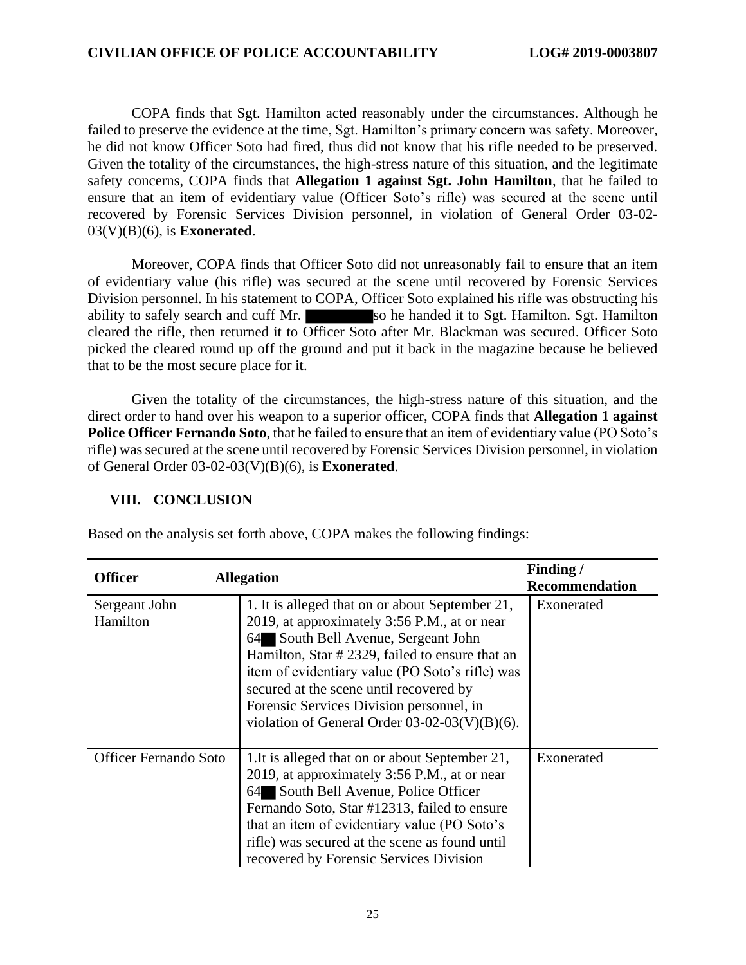COPA finds that Sgt. Hamilton acted reasonably under the circumstances. Although he failed to preserve the evidence at the time, Sgt. Hamilton's primary concern was safety. Moreover, he did not know Officer Soto had fired, thus did not know that his rifle needed to be preserved. Given the totality of the circumstances, the high-stress nature of this situation, and the legitimate safety concerns, COPA finds that **Allegation 1 against Sgt. John Hamilton**, that he failed to ensure that an item of evidentiary value (Officer Soto's rifle) was secured at the scene until recovered by Forensic Services Division personnel, in violation of General Order 03-02- 03(V)(B)(6), is **Exonerated**.

Moreover, COPA finds that Officer Soto did not unreasonably fail to ensure that an item of evidentiary value (his rifle) was secured at the scene until recovered by Forensic Services Division personnel. In his statement to COPA, Officer Soto explained his rifle was obstructing his ability to safely search and cuff Mr. so he handed it to Sgt. Hamilton. Sgt. Hamilton cleared the rifle, then returned it to Officer Soto after Mr. Blackman was secured. Officer Soto picked the cleared round up off the ground and put it back in the magazine because he believed that to be the most secure place for it.

Given the totality of the circumstances, the high-stress nature of this situation, and the direct order to hand over his weapon to a superior officer, COPA finds that **Allegation 1 against Police Officer Fernando Soto**, that he failed to ensure that an item of evidentiary value (PO Soto's rifle) was secured at the scene until recovered by Forensic Services Division personnel, in violation of General Order 03-02-03(V)(B)(6), is **Exonerated**.

#### **VIII. CONCLUSION**

Based on the analysis set forth above, COPA makes the following findings:

| <b>Allegation</b><br><b>Officer</b> |                                                                                                                                                                                                                                                                                                                                                                                         | Finding/              |
|-------------------------------------|-----------------------------------------------------------------------------------------------------------------------------------------------------------------------------------------------------------------------------------------------------------------------------------------------------------------------------------------------------------------------------------------|-----------------------|
|                                     |                                                                                                                                                                                                                                                                                                                                                                                         | <b>Recommendation</b> |
| Sergeant John<br>Hamilton           | 1. It is alleged that on or about September 21,<br>2019, at approximately 3:56 P.M., at or near<br>64 South Bell Avenue, Sergeant John<br>Hamilton, Star # 2329, failed to ensure that an<br>item of evidentiary value (PO Soto's rifle) was<br>secured at the scene until recovered by<br>Forensic Services Division personnel, in<br>violation of General Order $03-02-03(V)(B)(6)$ . | Exonerated            |
| <b>Officer Fernando Soto</b>        | 1. It is alleged that on or about September 21,<br>2019, at approximately 3:56 P.M., at or near<br>64 South Bell Avenue, Police Officer<br>Fernando Soto, Star #12313, failed to ensure<br>that an item of evidentiary value (PO Soto's<br>rifle) was secured at the scene as found until<br>recovered by Forensic Services Division                                                    | Exonerated            |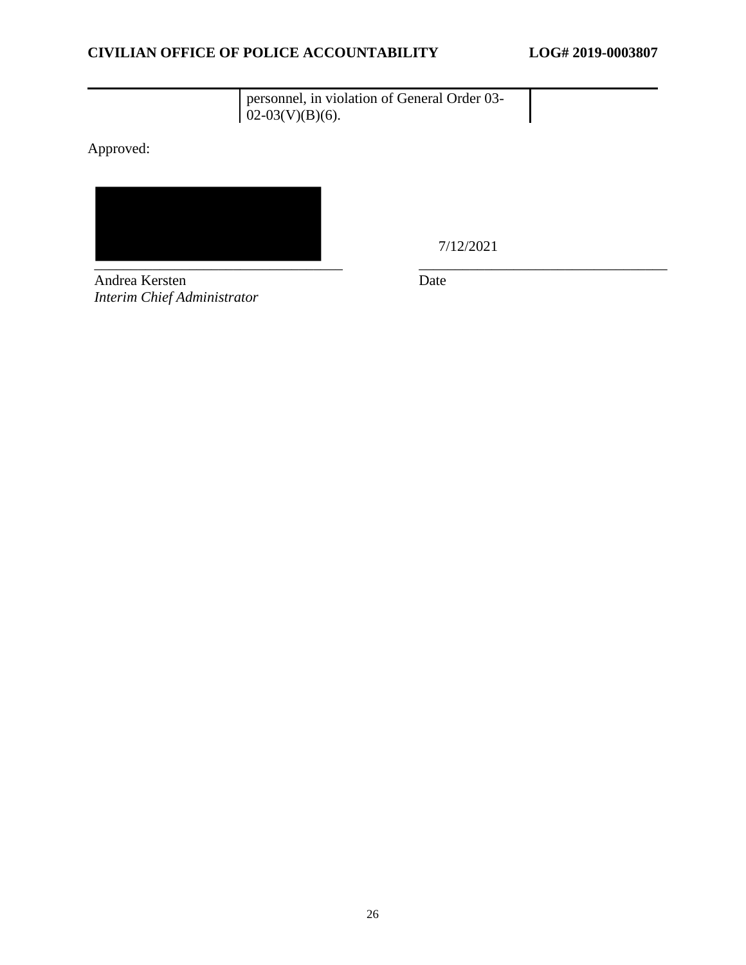# personnel, in violation of General Order 03-  $02-03(V)(B)(6)$ .

Approved:



7/12/2021

Andrea Kersten *Interim Chief Administrator* Date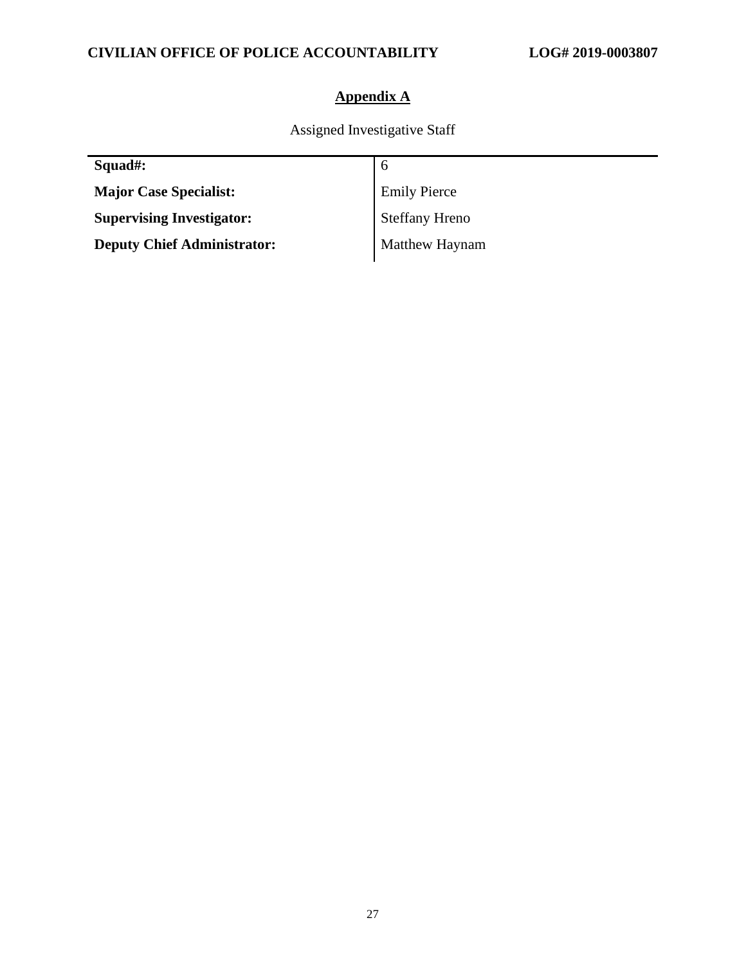# **Appendix A**

Assigned Investigative Staff

| Squad#:                            | 6                   |
|------------------------------------|---------------------|
| <b>Major Case Specialist:</b>      | <b>Emily Pierce</b> |
| <b>Supervising Investigator:</b>   | Steffany Hreno      |
| <b>Deputy Chief Administrator:</b> | Matthew Haynam      |